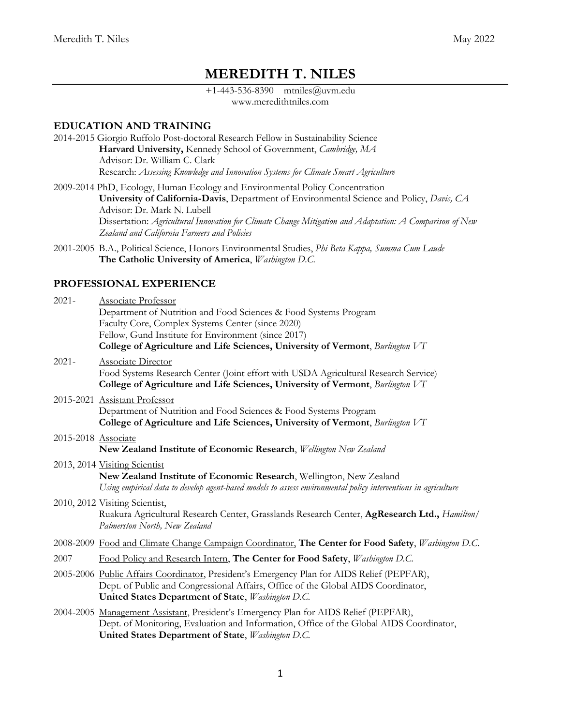# **MEREDITH T. NILES**

+1-443-536-8390 mtniles@uvm.edu www.meredithtniles.com

## **EDUCATION AND TRAINING**

- 2014-2015 Giorgio Ruffolo Post-doctoral Research Fellow in Sustainability Science **Harvard University,** Kennedy School of Government, *Cambridge, MA* Advisor: Dr. William C. Clark Research: *Assessing Knowledge and Innovation Systems for Climate Smart Agriculture*
- 2009-2014 PhD, Ecology, Human Ecology and Environmental Policy Concentration **University of California-Davis**, Department of Environmental Science and Policy, *Davis, CA* Advisor: Dr. Mark N. Lubell Dissertation: *Agricultural Innovation for Climate Change Mitigation and Adaptation: A Comparison of New Zealand and California Farmers and Policies*
- 2001-2005 B.A., Political Science, Honors Environmental Studies, *Phi Beta Kappa, Summa Cum Laude* **The Catholic University of America**, *Washington D.C.*

### **PROFESSIONAL EXPERIENCE**

| $2021 -$            | <b>Associate Professor</b><br>Department of Nutrition and Food Sciences & Food Systems Program<br>Faculty Core, Complex Systems Center (since 2020)<br>Fellow, Gund Institute for Environment (since 2017)                            |
|---------------------|---------------------------------------------------------------------------------------------------------------------------------------------------------------------------------------------------------------------------------------|
|                     | College of Agriculture and Life Sciences, University of Vermont, Burlington VT                                                                                                                                                        |
| $2021 -$            | <b>Associate Director</b><br>Food Systems Research Center (Joint effort with USDA Agricultural Research Service)<br>College of Agriculture and Life Sciences, University of Vermont, Burlington VT                                    |
|                     | 2015-2021 Assistant Professor                                                                                                                                                                                                         |
|                     | Department of Nutrition and Food Sciences & Food Systems Program<br>College of Agriculture and Life Sciences, University of Vermont, Burlington VT                                                                                    |
|                     |                                                                                                                                                                                                                                       |
| 2015-2018 Associate | New Zealand Institute of Economic Research, Wellington New Zealand                                                                                                                                                                    |
|                     | 2013, 2014 Visiting Scientist<br>New Zealand Institute of Economic Research, Wellington, New Zealand<br>Using empirical data to develop agent-based models to assess environmental policy interventions in agriculture                |
|                     | 2010, 2012 Visiting Scientist,<br>Ruakura Agricultural Research Center, Grasslands Research Center, AgResearch Ltd., Hamilton/<br>Palmerston North, New Zealand                                                                       |
|                     | 2008-2009 Food and Climate Change Campaign Coordinator, The Center for Food Safety, Washington D.C.                                                                                                                                   |
| 2007                | Food Policy and Research Intern, The Center for Food Safety, Washington D.C.                                                                                                                                                          |
|                     | 2005-2006 Public Affairs Coordinator, President's Emergency Plan for AIDS Relief (PEPFAR),<br>Dept. of Public and Congressional Affairs, Office of the Global AIDS Coordinator,<br>United States Department of State, Washington D.C. |
|                     | 2004-2005 Management Assistant, President's Emergency Plan for AIDS Relief (PEPFAR),<br>Dept. of Monitoring, Evaluation and Information, Office of the Global AIDS Coordinator,<br>United States Department of State, Washington D.C. |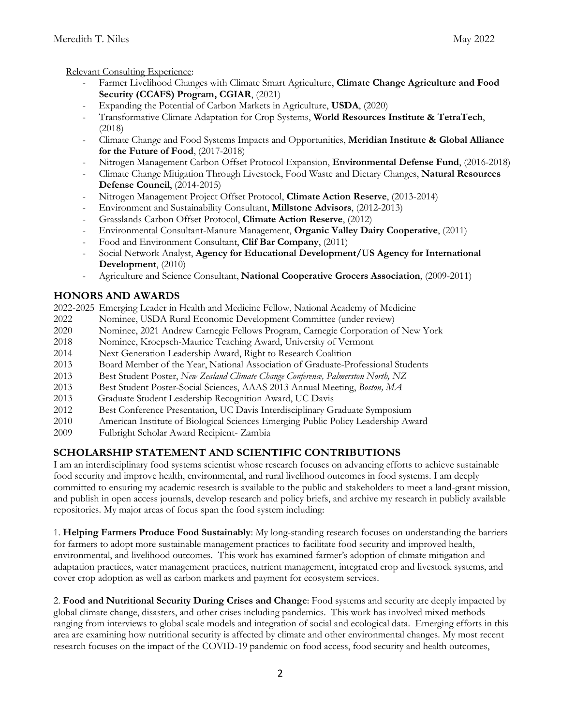Relevant Consulting Experience:

- Farmer Livelihood Changes with Climate Smart Agriculture, **Climate Change Agriculture and Food Security (CCAFS) Program, CGIAR**, (2021)
- Expanding the Potential of Carbon Markets in Agriculture, **USDA**, (2020)
- Transformative Climate Adaptation for Crop Systems, **World Resources Institute & TetraTech**, (2018)
- Climate Change and Food Systems Impacts and Opportunities, **Meridian Institute & Global Alliance for the Future of Food**, (2017-2018)
- Nitrogen Management Carbon Offset Protocol Expansion, **Environmental Defense Fund**, (2016-2018)
- Climate Change Mitigation Through Livestock, Food Waste and Dietary Changes, **Natural Resources Defense Council**, (2014-2015)
- Nitrogen Management Project Offset Protocol, **Climate Action Reserve**, (2013-2014)
- Environment and Sustainability Consultant, **Millstone Advisors**, (2012-2013)
- Grasslands Carbon Offset Protocol, **Climate Action Reserve**, (2012)
- Environmental Consultant-Manure Management, **Organic Valley Dairy Cooperative**, (2011)
- Food and Environment Consultant, **Clif Bar Company**, (2011)
- Social Network Analyst, **Agency for Educational Development/US Agency for International Development**, (2010)
- Agriculture and Science Consultant, **National Cooperative Grocers Association**, (2009-2011)

## **HONORS AND AWARDS**

2022-2025 Emerging Leader in Health and Medicine Fellow, National Academy of Medicine

- 2022 Nominee, USDA Rural Economic Development Committee (under review)
- 2020 Nominee, 2021 Andrew Carnegie Fellows Program, Carnegie Corporation of New York
- 2018 Nominee, Kroepsch-Maurice Teaching Award, University of Vermont
- 2014 Next Generation Leadership Award, Right to Research Coalition
- 2013 Board Member of the Year, National Association of Graduate-Professional Students
- 2013 Best Student Poster, *New Zealand Climate Change Conference, Palmerston North, NZ*
- 2013 Best Student Poster-Social Sciences, AAAS 2013 Annual Meeting, *Boston, MA*
- 2013 Graduate Student Leadership Recognition Award, UC Davis
- 2012 Best Conference Presentation, UC Davis Interdisciplinary Graduate Symposium
- 2010 American Institute of Biological Sciences Emerging Public Policy Leadership Award
- 2009 Fulbright Scholar Award Recipient- Zambia

## **SCHOLARSHIP STATEMENT AND SCIENTIFIC CONTRIBUTIONS**

I am an interdisciplinary food systems scientist whose research focuses on advancing efforts to achieve sustainable food security and improve health, environmental, and rural livelihood outcomes in food systems. I am deeply committed to ensuring my academic research is available to the public and stakeholders to meet a land-grant mission, and publish in open access journals, develop research and policy briefs, and archive my research in publicly available repositories. My major areas of focus span the food system including:

1. **Helping Farmers Produce Food Sustainably**: My long-standing research focuses on understanding the barriers for farmers to adopt more sustainable management practices to facilitate food security and improved health, environmental, and livelihood outcomes. This work has examined farmer's adoption of climate mitigation and adaptation practices, water management practices, nutrient management, integrated crop and livestock systems, and cover crop adoption as well as carbon markets and payment for ecosystem services.

2. **Food and Nutritional Security During Crises and Change**: Food systems and security are deeply impacted by global climate change, disasters, and other crises including pandemics. This work has involved mixed methods ranging from interviews to global scale models and integration of social and ecological data. Emerging efforts in this area are examining how nutritional security is affected by climate and other environmental changes. My most recent research focuses on the impact of the COVID-19 pandemic on food access, food security and health outcomes,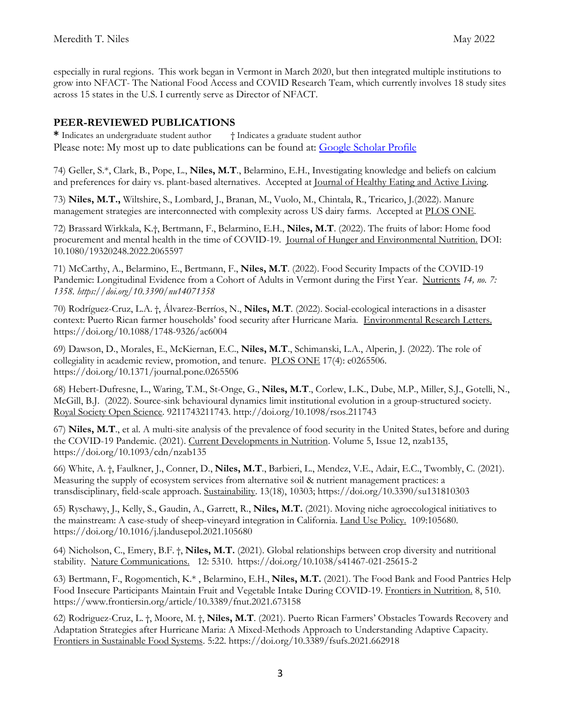especially in rural regions. This work began in Vermont in March 2020, but then integrated multiple institutions to grow into NFACT- The National Food Access and COVID Research Team, which currently involves 18 study sites across 15 states in the U.S. I currently serve as Director of NFACT.

## **PEER-REVIEWED PUBLICATIONS**

**\*** Indicates an undergraduate student author † Indicates a graduate student author Please note: My most up to date publications can be found at: [Google Scholar Profile](https://scholar.google.com/citations?user=MCBQlTgAAAAJ&hl=en)

74) Geller, S.\*, Clark, B., Pope, L., **Niles, M.T**., Belarmino, E.H., Investigating knowledge and beliefs on calcium and preferences for dairy vs. plant-based alternatives. Accepted at Journal of Healthy Eating and Active Living*.* 

73) **Niles, M.T.,** Wiltshire, S., Lombard, J., Branan, M., Vuolo, M., Chintala, R., Tricarico, J.(2022). Manure management strategies are interconnected with complexity across US dairy farms. Accepted at PLOS ONE*.*

72) Brassard Wirkkala, K.†, Bertmann, F., Belarmino, E.H., **Niles, M.T**. (2022). The fruits of labor: Home food procurement and mental health in the time of COVID-19. Journal of Hunger and Environmental Nutrition. DOI: 10.1080/19320248.2022.2065597

71) McCarthy, A., Belarmino, E., Bertmann, F., **Niles, M.T**. (2022). Food Security Impacts of the COVID-19 Pandemic: Longitudinal Evidence from a Cohort of Adults in Vermont during the First Year. Nutrients *14, no. 7: 1358. https://doi.org/10.3390/nu14071358*

70) Rodríguez-Cruz, L.A. †, Álvarez-Berríos, N., **Niles, M.T**. (2022). Social-ecological interactions in a disaster context: Puerto Rican farmer households' food security after Hurricane Maria. Environmental Research Letters. https://doi.org/10.1088/1748-9326/ac6004

69) Dawson, D., Morales, E., McKiernan, E.C., **Niles, M.T**., Schimanski, L.A., Alperin, J. (2022). The role of collegiality in academic review, promotion, and tenure. PLOS ONE 17(4): e0265506. https://doi.org/10.1371/journal.pone.0265506

68) Hebert-Dufresne, L., Waring, T.M., St-Onge, G., **Niles, M.T**., Corlew, L.K., Dube, M.P., Miller, S.J., Gotelli, N., McGill, B.J. (2022). Source-sink behavioural dynamics limit institutional evolution in a group-structured society. Royal Society Open Science. 9211743211743. http://doi.org/10.1098/rsos.211743

67) **Niles, M.T**., et al. A multi-site analysis of the prevalence of food security in the United States, before and during the COVID-19 Pandemic. (2021). Current Developments in Nutrition. Volume 5, Issue 12, nzab135, https://doi.org/10.1093/cdn/nzab135

66) White, A. †, Faulkner, J., Conner, D., **Niles, M.T**., Barbieri, L., Mendez, V.E., Adair, E.C., Twombly, C. (2021). Measuring the supply of ecosystem services from alternative soil & nutrient management practices: a transdisciplinary, field-scale approach. Sustainability. 13(18), 10303; https://doi.org/10.3390/su131810303

65) Ryschawy, J., Kelly, S., Gaudin, A., Garrett, R., **Niles, M.T.** (2021). Moving niche agroecological initiatives to the mainstream: A case-study of sheep-vineyard integration in California. Land Use Policy. 109:105680. https://doi.org/10.1016/j.landusepol.2021.105680

64) Nicholson, C., Emery, B.F. †, **Niles, M.T.** (2021). Global relationships between crop diversity and nutritional stability. Nature Communications. 12: 5310. https://doi.org/10.1038/s41467-021-25615-2

63) Bertmann, F., Rogomentich, K.\* , Belarmino, E.H., **Niles, M.T.** (2021). The Food Bank and Food Pantries Help Food Insecure Participants Maintain Fruit and Vegetable Intake During COVID-19. Frontiers in Nutrition. 8, 510. https://www.frontiersin.org/article/10.3389/fnut.2021.673158

62) Rodriguez-Cruz, L. †, Moore, M. †, **Niles, M.T**. (2021). Puerto Rican Farmers' Obstacles Towards Recovery and Adaptation Strategies after Hurricane Maria: A Mixed-Methods Approach to Understanding Adaptive Capacity. Frontiers in Sustainable Food Systems. 5:22. https://doi.org/10.3389/fsufs.2021.662918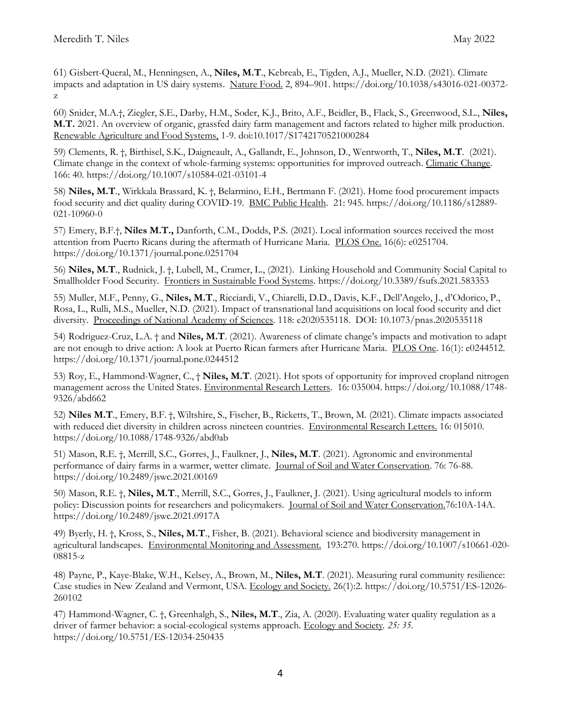61) Gisbert-Queral, M., Henningsen, A., **Niles, M.T**., Kebreab, E., Tigden, A.J., Mueller, N.D. (2021). Climate impacts and adaptation in US dairy systems. Nature Food. 2, 894–901. https://doi.org/10.1038/s43016-021-00372 z

60) Snider, M.A.†, Ziegler, S.E., Darby, H.M., Soder, K.J., Brito, A.F., Beidler, B., Flack, S., Greenwood, S.L., **Niles, M.T.** 2021. An overview of organic, grassfed dairy farm management and factors related to higher milk production. Renewable Agriculture and Food Systems, 1-9. doi:10.1017/S1742170521000284

59) Clements, R. †, Birthisel, S.K., Daigneault, A., Gallandt, E., Johnson, D., Wentworth, T., **Niles, M.T**. (2021). Climate change in the context of whole-farming systems: opportunities for improved outreach. Climatic Change. 166: 40. https://doi.org/10.1007/s10584-021-03101-4

58) **Niles, M.T**., Wirkkala Brassard, K. †, Belarmino, E.H., Bertmann F. (2021). Home food procurement impacts food security and diet quality during COVID-19. BMC Public Health. 21: 945. https://doi.org/10.1186/s12889- 021-10960-0

57) Emery, B.F.†, **Niles M.T.,** Danforth, C.M., Dodds, P.S. (2021). Local information sources received the most attention from Puerto Ricans during the aftermath of Hurricane Maria. PLOS One. 16(6): e0251704. https://doi.org/10.1371/journal.pone.0251704

56) **Niles, M.T**., Rudnick, J. †, Lubell, M., Cramer, L., (2021). Linking Household and Community Social Capital to Smallholder Food Security. Frontiers in Sustainable Food Systems*.* https://doi.org/10.3389/fsufs.2021.583353

55) Muller, M.F., Penny, G., **Niles, M.T**., Ricciardi, V., Chiarelli, D.D., Davis, K.F., Dell'Angelo, J., d'Odorico, P., Rosa, L., Rulli, M.S., Mueller, N.D. (2021). Impact of transnational land acquisitions on local food security and diet diversity. Proceedings of National Academy of Sciences. 118: e2020535118. DOI: 10.1073/pnas.2020535118

54) Rodriguez-Cruz, L.A. † and **Niles, M.T**. (2021). Awareness of climate change's impacts and motivation to adapt are not enough to drive action: A look at Puerto Rican farmers after Hurricane Maria. PLOS One. 16(1): e0244512. https://doi.org/10.1371/journal.pone.0244512

53) Roy, E., Hammond-Wagner, C., † **Niles, M.T**. (2021). Hot spots of opportunity for improved cropland nitrogen management across the United States. Environmental Research Letters. 16: 035004. https://doi.org/10.1088/1748- 9326/abd662

52) **Niles M.T**., Emery, B.F. †, Wiltshire, S., Fischer, B., Ricketts, T., Brown, M. (2021). Climate impacts associated with reduced diet diversity in children across nineteen countries. Environmental Research Letters. 16: 015010. https://doi.org/10.1088/1748-9326/abd0ab

51) Mason, R.E. †, Merrill, S.C., Gorres, J., Faulkner, J., **Niles, M.T**. (2021). Agronomic and environmental performance of dairy farms in a warmer, wetter climate. Journal of Soil and Water Conservation. 76: 76-88. https://doi.org/10.2489/jswc.2021.00169

50) Mason, R.E. †, **Niles, M.T**., Merrill, S.C., Gorres, J., Faulkner, J. (2021). Using agricultural models to inform policy: Discussion points for researchers and policymakers. Journal of Soil and Water Conservation.76:10A-14A. https://doi.org/10.2489/jswc.2021.0917A

49) Byerly, H. †, Kross, S., **Niles, M.T**., Fisher, B. (2021). Behavioral science and biodiversity management in agricultural landscapes. Environmental Monitoring and Assessment. 193:270. https://doi.org/10.1007/s10661-020- 08815-z

48) Payne, P., Kaye-Blake, W.H., Kelsey, A., Brown, M., **Niles, M.T**. (2021). Measuring rural community resilience: Case studies in New Zealand and Vermont, USA. Ecology and Society. 26(1):2. https://doi.org/10.5751/ES-12026- 260102

47) Hammond-Wagner, C. †, Greenhalgh, S., **Niles, M.T**., Zia, A. (2020). Evaluating water quality regulation as a driver of farmer behavior: a social-ecological systems approach. Ecology and Society*. 25: 35.*  https://doi.org/10.5751/ES-12034-250435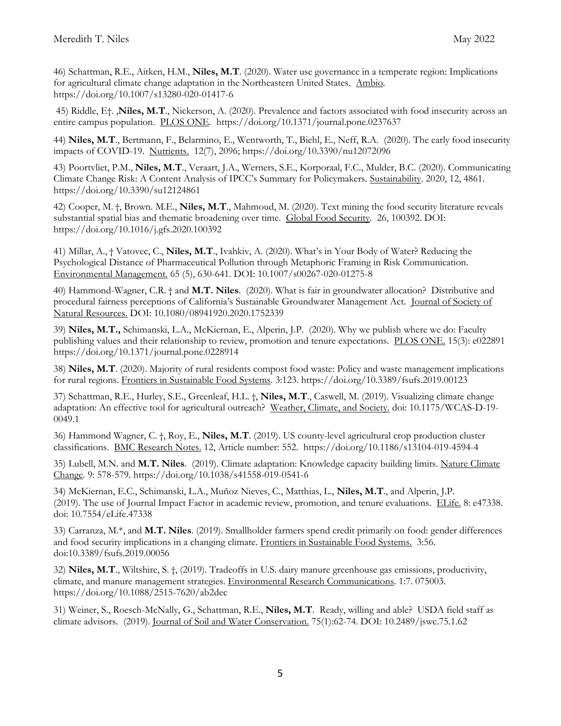46) Schattman, R.E., Aitken, H.M., **Niles, M.T**. (2020). Water use governance in a temperate region: Implications for agricultural climate change adaptation in the Northeastern United States. Ambio. https://doi.org/10.1007/s13280-020-01417-6

45) Riddle, E†. ,**Niles, M.T**., Nickerson, A. (2020). Prevalence and factors associated with food insecurity across an entire campus population. PLOS ONE*.* https://doi.org/10.1371/journal.pone.0237637

44) **Niles, M.T**., Bertmann, F., Belarmino, E., Wentworth, T., Biehl, E., Neff, R.A. (2020). The early food insecurity impacts of COVID-19. Nutrients. 12(7), 2096; https://doi.org/10.3390/nu12072096

43) Poortvliet, P.M., **Niles, M.T**., Veraart, J.A., Werners, S.E., Korporaal, F.C., Mulder, B.C. (2020). Communicating Climate Change Risk: A Content Analysis of IPCC's Summary for Policymakers. Sustainability. 2020, 12, 4861. https://doi.org/10.3390/su12124861

42) Cooper, M. †, Brown. M.E., **Niles, M.T**., Mahmoud, M. (2020). Text mining the food security literature reveals substantial spatial bias and thematic broadening over time. Global Food Security*.* 26, 100392. DOI: https://doi.org/10.1016/j.gfs.2020.100392

41) Millar, A., † Vatovec, C., **Niles, M.T**., Ivahkiv, A. (2020). What's in Your Body of Water? Reducing the Psychological Distance of Pharmaceutical Pollution through Metaphoric Framing in Risk Communication. Environmental Management. 65 (5), 630-641. DOI: 10.1007/s00267-020-01275-8

40) Hammond-Wagner, C.R. † and **M.T. Niles**. (2020). What is fair in groundwater allocation? Distributive and procedural fairness perceptions of California's Sustainable Groundwater Management Act. Journal of Society of Natural Resources. DOI: 10.1080/08941920.2020.1752339

39) **Niles, M.T.,** Schimanski, L.A., McKiernan, E., Alperin, J.P. (2020). Why we publish where we do: Faculty publishing values and their relationship to review, promotion and tenure expectations. PLOS ONE. 15(3): e022891 https://doi.org/10.1371/journal.pone.0228914

38) **Niles, M.T**. (2020). Majority of rural residents compost food waste: Policy and waste management implications for rural regions. Frontiers in Sustainable Food Systems*.* 3:123. https://doi.org/10.3389/fsufs.2019.00123

37) Schattman, R.E., Hurley, S.E., Greenleaf, H.L. †, **Niles, M.T**., Caswell, M. (2019). Visualizing climate change adaptation: An effective tool for agricultural outreach? Weather, Climate, and Society. doi: 10.1175/WCAS-D-19- 0049.1

36) Hammond Wagner, C. †, Roy, E., **Niles, M.T**. (2019). US county-level agricultural crop production cluster classifications. BMC Research Notes. 12, Article number: 552. https://doi.org/10.1186/s13104-019-4594-4

35) Lubell, M.N. and **M.T. Niles**. (2019). Climate adaptation: Knowledge capacity building limits. Nature Climate Change*.* 9: 578-579. https://doi.org/10.1038/s41558-019-0541-6

34) McKiernan, E.C., Schimanski, L.A., Muñoz Nieves, C., Matthias, L., **Niles, M.T**., and Alperin, J.P. (2019). The use of Journal Impact Factor in academic review, promotion, and tenure evaluations. ELife. 8: e47338. doi: 10.7554/eLife.47338

33) Carranza, M.\*, and **M.T. Niles**. (2019). Smallholder farmers spend credit primarily on food: gender differences and food security implications in a changing climate. Frontiers in Sustainable Food Systems.3:56. doi:10.3389/fsufs.2019.00056

32) **Niles, M.T**., Wiltshire, S. †, (2019). Tradeoffs in U.S. dairy manure greenhouse gas emissions, productivity, climate, and manure management strategies. Environmental Research Communications*.* 1:7. 075003. https://doi.org/10.1088/2515-7620/ab2dec

31) Weiner, S., Roesch-McNally, G., Schattman, R.E., **Niles, M.T**. Ready, willing and able? USDA field staff as climate advisors. (2019). Journal of Soil and Water Conservation. 75(1):62-74. DOI: 10.2489/jswc.75.1.62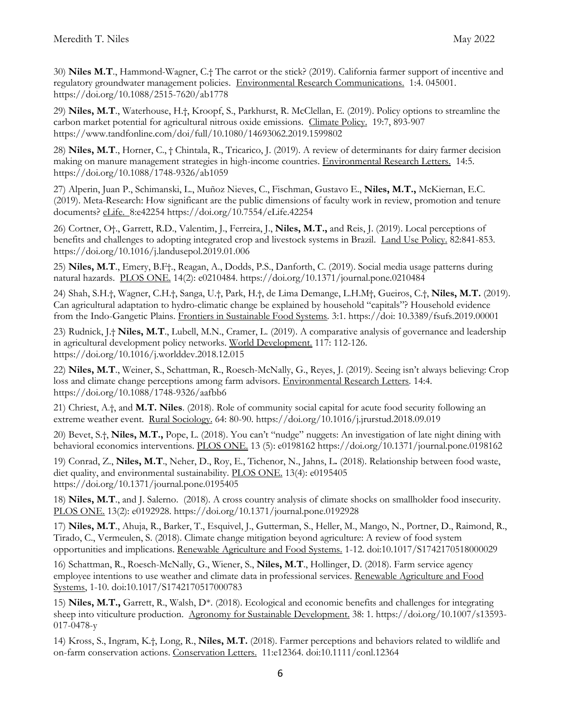30) **Niles M.T**., Hammond-Wagner, C.† The carrot or the stick? (2019). California farmer support of incentive and regulatory groundwater management policies. Environmental Research Communications. 1:4. 045001. https://doi.org/10.1088/2515-7620/ab1778

29) **Niles, M.T**., Waterhouse, H.†, Kroopf, S., Parkhurst, R. McClellan, E. (2019). Policy options to streamline the carbon market potential for agricultural nitrous oxide emissions. Climate Policy. 19:7, 893-907 https://www.tandfonline.com/doi/full/10.1080/14693062.2019.1599802

28) **Niles, M.T**., Horner, C., † Chintala, R., Tricarico, J. (2019). A review of determinants for dairy farmer decision making on manure management strategies in high-income countries. Environmental Research Letters. 14:5. https://doi.org/10.1088/1748-9326/ab1059

27) Alperin, Juan P., Schimanski, L., Muñoz Nieves, C., Fischman, Gustavo E., **Niles, M.T.,** McKiernan, E.C. (2019). Meta-Research: How significant are the public dimensions of faculty work in review, promotion and tenure documents? eLife. 8:e42254 https://doi.org/10.7554/eLife.42254

26) Cortner, O†., Garrett, R.D., Valentim, J., Ferreira, J., **Niles, M.T.,** and Reis, J. (2019). Local perceptions of benefits and challenges to adopting integrated crop and livestock systems in Brazil. Land Use Policy. 82:841-853. https://doi.org/10.1016/j.landusepol.2019.01.006

25) **Niles, M.T**., Emery, B.F†., Reagan, A., Dodds, P.S., Danforth, C. (2019). Social media usage patterns during natural hazards. PLOS ONE. 14(2): e0210484. https://doi.org/10.1371/journal.pone.0210484

24) Shah, S.H.†, Wagner, C.H.†, Sanga, U.†, Park, H.†, de Lima Demange, L.H.M†, Gueiros, C.†, **Niles, M.T.** (2019). Can agricultural adaptation to hydro-climatic change be explained by household "capitals"? Household evidence from the Indo-Gangetic Plains. Frontiers in Sustainable Food Systems*.* 3:1. https://doi: 10.3389/fsufs.2019.00001

23) Rudnick, J.† **Niles, M.T**., Lubell, M.N., Cramer, L. (2019). A comparative analysis of governance and leadership in agricultural development policy networks. World Development. 117: 112-126. https://doi.org/10.1016/j.worlddev.2018.12.015

22) **Niles, M.T**., Weiner, S., Schattman, R., Roesch-McNally, G., Reyes, J. (2019). Seeing isn't always believing: Crop loss and climate change perceptions among farm advisors. Environmental Research Letters*.* 14:4. https://doi.org/10.1088/1748-9326/aafbb6

21) Chriest, A.†, and **M.T. Niles**. (2018). Role of community social capital for acute food security following an extreme weather event. Rural Sociology. 64: 80-90. https://doi.org/10.1016/j.jrurstud.2018.09.019

20) Bevet, S.†, **Niles, M.T.,** Pope, L. (2018). You can't "nudge" nuggets: An investigation of late night dining with behavioral economics interventions. PLOS ONE. 13 (5): e0198162 https://doi.org/10.1371/journal.pone.0198162

19) Conrad, Z., **Niles, M.T**., Neher, D., Roy, E., Tichenor, N., Jahns, L**.** (2018). Relationship between food waste, diet quality, and environmental sustainability. PLOS ONE. 13(4): e0195405 https://doi.org/10.1371/journal.pone.0195405

18) **Niles, M.T**., and J. Salerno. (2018). A cross country analysis of climate shocks on smallholder food insecurity. PLOS ONE. 13(2): e0192928. https://doi.org/10.1371/journal.pone.0192928

17) **Niles, M.T**., Ahuja, R., Barker, T., Esquivel, J., Gutterman, S., Heller, M., Mango, N., Portner, D., Raimond, R., Tirado, C., Vermeulen, S. (2018). Climate change mitigation beyond agriculture: A review of food system opportunities and implications. Renewable Agriculture and Food Systems. 1-12. doi:10.1017/S1742170518000029

16) Schattman, R., Roesch-McNally, G., Wiener, S., **Niles, M.T**., Hollinger, D. (2018). Farm service agency employee intentions to use weather and climate data in professional services. Renewable Agriculture and Food Systems, 1-10. doi:10.1017/S1742170517000783

15) **Niles, M.T.,** Garrett, R., Walsh, D\*. (2018). Ecological and economic benefits and challenges for integrating sheep into viticulture production. Agronomy for Sustainable Development. 38: 1. https://doi.org/10.1007/s13593- 017-0478-y

14) Kross, S., Ingram, K.†, Long, R., **Niles, M.T.** (2018). Farmer perceptions and behaviors related to wildlife and on-farm conservation actions. Conservation Letters. 11:e12364. doi:10.1111/conl.12364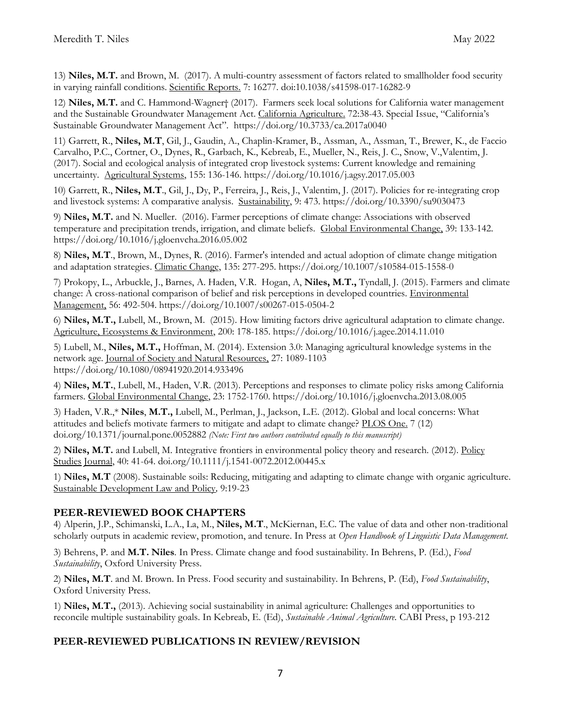13) **Niles, M.T.** and Brown, M. (2017). A multi-country assessment of factors related to smallholder food security in varying rainfall conditions. Scientific Reports. 7: 16277. doi:10.1038/s41598-017-16282-9

12) **Niles, M.T.** and C. Hammond-Wagner† (2017). Farmers seek local solutions for California water management and the Sustainable Groundwater Management Act. California Agriculture. 72:38-43. Special Issue, "California's Sustainable Groundwater Management Act". https://doi.org/10.3733/ca.2017a0040

11) Garrett, R., **Niles, M.T**, Gil, J., Gaudin, A., Chaplin-Kramer, B., Assman, A., Assman, T., Brewer, K., de Faccio Carvalho, P.C., Cortner, O., Dynes, R., Garbach, K., Kebreab, E., Mueller, N., Reis, J. C., Snow, V.,Valentim, J. (2017). Social and ecological analysis of integrated crop livestock systems: Current knowledge and remaining uncertainty. Agricultural Systems, 155: 136-146. https://doi.org/10.1016/j.agsy.2017.05.003

10) Garrett, R., **Niles, M.T**., Gil, J., Dy, P., Ferreira, J., Reis, J., Valentim, J. (2017). Policies for re-integrating crop and livestock systems: A comparative analysis. Sustainability, 9: 473. https://doi.org/10.3390/su9030473

9) **Niles, M.T.** and N. Mueller. (2016). Farmer perceptions of climate change: Associations with observed temperature and precipitation trends, irrigation, and climate beliefs. Global Environmental Change, 39: 133-142. https://doi.org/10.1016/j.gloenvcha.2016.05.002

8) **Niles, M.T**., Brown, M., Dynes, R. (2016). Farmer's intended and actual adoption of climate change mitigation and adaptation strategies. Climatic Change, 135: 277-295. https://doi.org/10.1007/s10584-015-1558-0

7) Prokopy, L., Arbuckle, J., Barnes, A. Haden, V.R. Hogan, A, **Niles, M.T.,** Tyndall, J. (2015). Farmers and climate change: A cross-national comparison of belief and risk perceptions in developed countries. Environmental Management, 56: 492-504. https://doi.org/10.1007/s00267-015-0504-2

6) **Niles, M.T.,** Lubell, M., Brown, M. (2015). How limiting factors drive agricultural adaptation to climate change. Agriculture, Ecosystems & Environment, 200: 178-185. https://doi.org/10.1016/j.agee.2014.11.010

5) Lubell, M., **Niles, M.T.,** Hoffman, M. (2014). Extension 3.0: Managing agricultural knowledge systems in the network age. Journal of Society and Natural Resources, 27: 1089-1103 https://doi.org/10.1080/08941920.2014.933496

4) **Niles, M.T.**, Lubell, M., Haden, V.R. (2013). Perceptions and responses to climate policy risks among California farmers. Global Environmental Change, 23: 1752-1760. https://doi.org/10.1016/j.gloenvcha.2013.08.005

3) Haden, V.R.,\* **Niles**, **M.T.,** Lubell, M., Perlman, J., Jackson, L.E. (2012). Global and local concerns: What attitudes and beliefs motivate farmers to mitigate and adapt to climate change? PLOS One. 7 (12) doi.org/10.1371/journal.pone.0052882 *(Note: First two authors contributed equally to this manuscript)* 

2) **Niles, M.T.** and Lubell, M. Integrative frontiers in environmental policy theory and research. (2012). Policy Studies Journal, 40: 41-64. doi.org/10.1111/j.1541-0072.2012.00445.x

1) **Niles, M.T** (2008). Sustainable soils: Reducing, mitigating and adapting to climate change with organic agriculture. Sustainable Development Law and Policy*,* 9:19-23

## **PEER-REVIEWED BOOK CHAPTERS**

4) Alperin, J.P., Schimanski, L.A., La, M., **Niles, M.T**., McKiernan, E.C. The value of data and other non-traditional scholarly outputs in academic review, promotion, and tenure. In Press at *Open Handbook of Linguistic Data Management.*

3) Behrens, P. and **M.T. Niles**. In Press. Climate change and food sustainability. In Behrens, P. (Ed.), *Food Sustainability*, Oxford University Press.

2) **Niles, M.T**. and M. Brown. In Press. Food security and sustainability. In Behrens, P. (Ed), *Food Sustainability*, Oxford University Press.

1) **Niles, M.T.,** (2013). Achieving social sustainability in animal agriculture: Challenges and opportunities to reconcile multiple sustainability goals. In Kebreab, E. (Ed), *Sustainable Animal Agriculture.* CABI Press, p 193-212

## **PEER-REVIEWED PUBLICATIONS IN REVIEW/REVISION**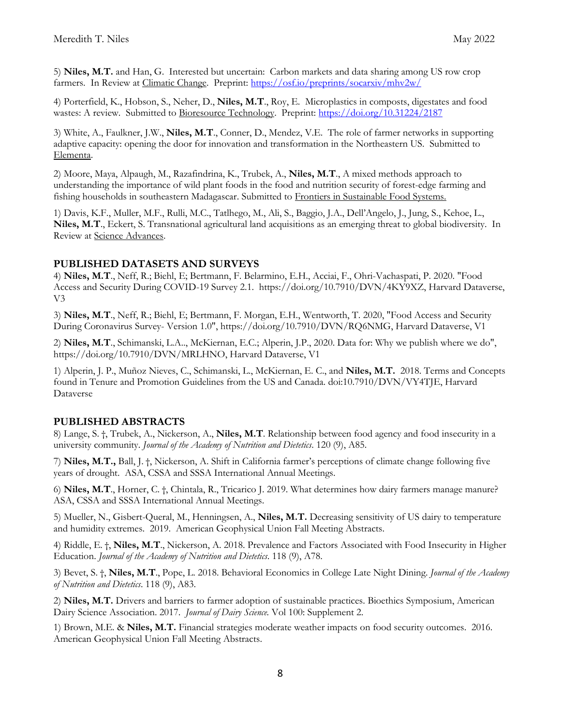5) **Niles, M.T.** and Han, G. Interested but uncertain: Carbon markets and data sharing among US row crop farmers. In Review at Climatic Change. Preprint:<https://osf.io/preprints/socarxiv/mhv2w/>

4) Porterfield, K., Hobson, S., Neher, D., **Niles, M.T**., Roy, E. Microplastics in composts, digestates and food wastes: A review. Submitted to Bioresource Technology. Preprint:<https://doi.org/10.31224/2187>

3) White, A., Faulkner, J.W., **Niles, M.T**., Conner, D., Mendez, V.E. The role of farmer networks in supporting adaptive capacity: opening the door for innovation and transformation in the Northeastern US. Submitted to Elementa.

2) Moore, Maya, Alpaugh, M., Razafindrina, K., Trubek, A., **Niles, M.T**., A mixed methods approach to understanding the importance of wild plant foods in the food and nutrition security of forest-edge farming and fishing households in southeastern Madagascar. Submitted to Frontiers in Sustainable Food Systems.

1) Davis, K.F., Muller, M.F., Rulli, M.C., Tatlhego, M., Ali, S., Baggio, J.A., Dell'Angelo, J., Jung, S., Kehoe, L., **Niles, M.T**., Eckert, S. Transnational agricultural land acquisitions as an emerging threat to global biodiversity. In Review at Science Advances.

## **PUBLISHED DATASETS AND SURVEYS**

4) **Niles, M.T**., Neff, R.; Biehl, E; Bertmann, F. Belarmino, E.H., Acciai, F., Ohri-Vachaspati, P. 2020. "Food Access and Security During COVID-19 Survey 2.1. https://doi.org/10.7910/DVN/4KY9XZ, Harvard Dataverse, V3

3) **Niles, M.T**., Neff, R.; Biehl, E; Bertmann, F. Morgan, E.H., Wentworth, T. 2020, "Food Access and Security During Coronavirus Survey- Version 1.0", https://doi.org/10.7910/DVN/RQ6NMG, Harvard Dataverse, V1

2) **Niles, M.T**., Schimanski, L.A.., McKiernan, E.C.; Alperin, J.P., 2020. Data for: Why we publish where we do", https://doi.org/10.7910/DVN/MRLHNO, Harvard Dataverse, V1

1) Alperin, J. P., Muñoz Nieves, C., Schimanski, L., McKiernan, E. C., and **Niles, M.T.** 2018. Terms and Concepts found in Tenure and Promotion Guidelines from the US and Canada. doi:10.7910/DVN/VY4TJE, Harvard Dataverse

## **PUBLISHED ABSTRACTS**

8) Lange, S. †, Trubek, A., Nickerson, A., **Niles, M.T**. Relationship between food agency and food insecurity in a university community. *Journal of the Academy of Nutrition and Dietetics*. 120 (9), A85.

7) **Niles, M.T.,** Ball, J. †, Nickerson, A. Shift in California farmer's perceptions of climate change following five years of drought. ASA, CSSA and SSSA International Annual Meetings.

6) **Niles, M.T**., Horner, C. †, Chintala, R., Tricarico J. 2019. What determines how dairy farmers manage manure? ASA, CSSA and SSSA International Annual Meetings.

5) Mueller, N., Gisbert-Queral, M., Henningsen, A., **Niles, M.T.** Decreasing sensitivity of US dairy to temperature and humidity extremes. 2019. American Geophysical Union Fall Meeting Abstracts.

4) Riddle, E. †, **Niles, M.T**., Nickerson, A. 2018. Prevalence and Factors Associated with Food Insecurity in Higher Education. *Journal of the Academy of Nutrition and Dietetics*. 118 (9), A78.

3) Bevet, S. †, **Niles, M.T**., Pope, L. 2018. Behavioral Economics in College Late Night Dining. *Journal of the Academy of Nutrition and Dietetics*. 118 (9), A83.

2) **Niles, M.T.** Drivers and barriers to farmer adoption of sustainable practices. Bioethics Symposium, American Dairy Science Association. 2017. *Journal of Dairy Science.* Vol 100: Supplement 2.

1) Brown, M.E. & **Niles, M.T.** Financial strategies moderate weather impacts on food security outcomes. 2016. American Geophysical Union Fall Meeting Abstracts.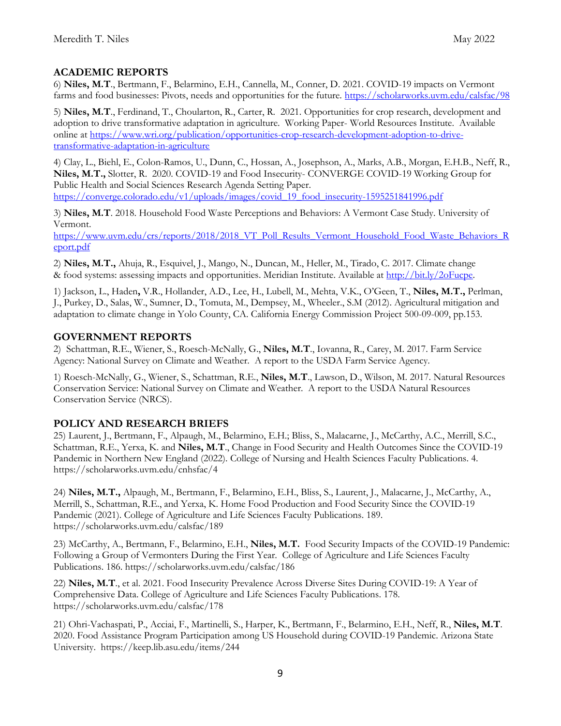## **ACADEMIC REPORTS**

6) **Niles, M.T**., Bertmann, F., Belarmino, E.H., Cannella, M., Conner, D. 2021. COVID-19 impacts on Vermont farms and food businesses: Pivots, needs and opportunities for the future.<https://scholarworks.uvm.edu/calsfac/98>

5) **Niles, M.T**., Ferdinand, T., Choularton, R., Carter, R. 2021. Opportunities for crop research, development and adoption to drive transformative adaptation in agriculture. Working Paper- World Resources Institute. Available online at [https://www.wri.org/publication/opportunities-crop-research-development-adoption-to-drive](https://www.wri.org/publication/opportunities-crop-research-development-adoption-to-drive-transformative-adaptation-in-agriculture)[transformative-adaptation-in-agriculture](https://www.wri.org/publication/opportunities-crop-research-development-adoption-to-drive-transformative-adaptation-in-agriculture)

4) Clay, L., Biehl, E., Colon-Ramos, U., Dunn, C., Hossan, A., Josephson, A., Marks, A.B., Morgan, E.H.B., Neff, R., **Niles, M.T.,** Slotter, R. 2020. COVID-19 and Food Insecurity- CONVERGE COVID-19 Working Group for Public Health and Social Sciences Research Agenda Setting Paper. [https://converge.colorado.edu/v1/uploads/images/covid\\_19\\_food\\_insecurity-1595251841996.pdf](https://converge.colorado.edu/v1/uploads/images/covid_19_food_insecurity-1595251841996.pdf)

3) **Niles, M.T**. 2018. Household Food Waste Perceptions and Behaviors: A Vermont Case Study. University of Vermont.

[https://www.uvm.edu/crs/reports/2018/2018\\_VT\\_Poll\\_Results\\_Vermont\\_Household\\_Food\\_Waste\\_Behaviors\\_R](https://www.uvm.edu/crs/reports/2018/2018_VT_Poll_Results_Vermont_Household_Food_Waste_Behaviors_Report.pdf) [eport.pdf](https://www.uvm.edu/crs/reports/2018/2018_VT_Poll_Results_Vermont_Household_Food_Waste_Behaviors_Report.pdf)

2) **Niles, M.T.,** Ahuja, R., Esquivel, J., Mango, N., Duncan, M., Heller, M., Tirado, C. 2017. Climate change & food systems: assessing impacts and opportunities. Meridian Institute. Available at [http://bit.ly/2oFucpe.](http://bit.ly/2oFucpe)

1) Jackson, L., Haden**,** V.R., Hollander, A.D., Lee, H., Lubell, M., Mehta, V.K., O'Geen, T., **Niles, M.T.,** Perlman, J., Purkey, D., Salas, W., Sumner, D., Tomuta, M., Dempsey, M., Wheeler., S.M (2012). Agricultural mitigation and adaptation to climate change in Yolo County, CA. California Energy Commission Project 500-09-009, pp.153.

## **GOVERNMENT REPORTS**

2) Schattman, R.E., Wiener, S., Roesch-McNally, G., **Niles, M.T**., Iovanna, R., Carey, M. 2017. Farm Service Agency: National Survey on Climate and Weather. A report to the USDA Farm Service Agency.

1) Roesch-McNally, G., Wiener, S., Schattman, R.E., **Niles, M.T**., Lawson, D., Wilson, M. 2017. Natural Resources Conservation Service: National Survey on Climate and Weather. A report to the USDA Natural Resources Conservation Service (NRCS).

## **POLICY AND RESEARCH BRIEFS**

25) Laurent, J., Bertmann, F., Alpaugh, M., Belarmino, E.H.; Bliss, S., Malacarne, J., McCarthy, A.C., Merrill, S.C., Schattman, R.E., Yerxa, K. and **Niles, M.T**., Change in Food Security and Health Outcomes Since the COVID-19 Pandemic in Northern New England (2022). College of Nursing and Health Sciences Faculty Publications. 4. https://scholarworks.uvm.edu/cnhsfac/4

24) **Niles, M.T.,** Alpaugh, M., Bertmann, F., Belarmino, E.H., Bliss, S., Laurent, J., Malacarne, J., McCarthy, A., Merrill, S., Schattman, R.E., and Yerxa, K. Home Food Production and Food Security Since the COVID-19 Pandemic (2021). College of Agriculture and Life Sciences Faculty Publications. 189. https://scholarworks.uvm.edu/calsfac/189

23) McCarthy, A., Bertmann, F., Belarmino, E.H., **Niles, M.T.** Food Security Impacts of the COVID-19 Pandemic: Following a Group of Vermonters During the First Year. College of Agriculture and Life Sciences Faculty Publications. 186. https://scholarworks.uvm.edu/calsfac/186

22) **Niles, M.T**., et al. 2021. Food Insecurity Prevalence Across Diverse Sites During COVID-19: A Year of Comprehensive Data. College of Agriculture and Life Sciences Faculty Publications. 178. https://scholarworks.uvm.edu/calsfac/178

21) Ohri-Vachaspati, P., Acciai, F., Martinelli, S., Harper, K., Bertmann, F., Belarmino, E.H., Neff, R., **Niles, M.T**. 2020. Food Assistance Program Participation among US Household during COVID-19 Pandemic. Arizona State University. https://keep.lib.asu.edu/items/244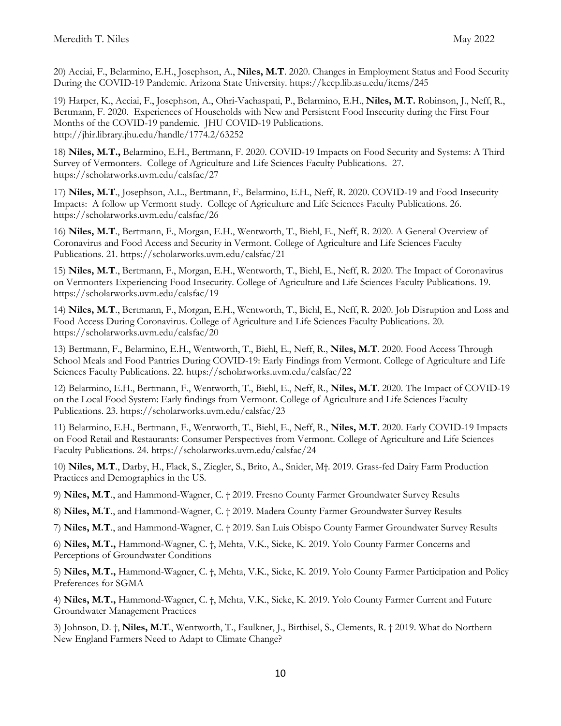20) Acciai, F., Belarmino, E.H., Josephson, A., **Niles, M.T**. 2020. Changes in Employment Status and Food Security During the COVID-19 Pandemic. Arizona State University. https://keep.lib.asu.edu/items/245

19) Harper, K., Acciai, F., Josephson, A., Ohri-Vachaspati, P., Belarmino, E.H., **Niles, M.T.** Robinson, J., Neff, R., Bertmann, F. 2020. Experiences of Households with New and Persistent Food Insecurity during the First Four Months of the COVID-19 pandemic. JHU COVID-19 Publications. http://jhir.library.jhu.edu/handle/1774.2/63252

18) **Niles, M.T.,** Belarmino, E.H., Bertmann, F. 2020. COVID-19 Impacts on Food Security and Systems: A Third Survey of Vermonters. College of Agriculture and Life Sciences Faculty Publications. 27. https://scholarworks.uvm.edu/calsfac/27

17) **Niles, M.T**., Josephson, A.L., Bertmann, F., Belarmino, E.H., Neff, R. 2020. COVID-19 and Food Insecurity Impacts: A follow up Vermont study. College of Agriculture and Life Sciences Faculty Publications. 26. https://scholarworks.uvm.edu/calsfac/26

16) **Niles, M.T**., Bertmann, F., Morgan, E.H., Wentworth, T., Biehl, E., Neff, R. 2020. A General Overview of Coronavirus and Food Access and Security in Vermont. College of Agriculture and Life Sciences Faculty Publications. 21. https://scholarworks.uvm.edu/calsfac/21

15) **Niles, M.T**., Bertmann, F., Morgan, E.H., Wentworth, T., Biehl, E., Neff, R. 2020. The Impact of Coronavirus on Vermonters Experiencing Food Insecurity. College of Agriculture and Life Sciences Faculty Publications. 19. https://scholarworks.uvm.edu/calsfac/19

14) **Niles, M.T**., Bertmann, F., Morgan, E.H., Wentworth, T., Biehl, E., Neff, R. 2020. Job Disruption and Loss and Food Access During Coronavirus. College of Agriculture and Life Sciences Faculty Publications. 20. https://scholarworks.uvm.edu/calsfac/20

13) Bertmann, F., Belarmino, E.H., Wentworth, T., Biehl, E., Neff, R., **Niles, M.T**. 2020. Food Access Through School Meals and Food Pantries During COVID-19: Early Findings from Vermont. College of Agriculture and Life Sciences Faculty Publications. 22. https://scholarworks.uvm.edu/calsfac/22

12) Belarmino, E.H., Bertmann, F., Wentworth, T., Biehl, E., Neff, R., **Niles, M.T**. 2020. The Impact of COVID-19 on the Local Food System: Early findings from Vermont. College of Agriculture and Life Sciences Faculty Publications. 23. https://scholarworks.uvm.edu/calsfac/23

11) Belarmino, E.H., Bertmann, F., Wentworth, T., Biehl, E., Neff, R., **Niles, M.T**. 2020. Early COVID-19 Impacts on Food Retail and Restaurants: Consumer Perspectives from Vermont. College of Agriculture and Life Sciences Faculty Publications. 24. https://scholarworks.uvm.edu/calsfac/24

10) **Niles, M.T**., Darby, H., Flack, S., Ziegler, S., Brito, A., Snider, M†. 2019. Grass-fed Dairy Farm Production Practices and Demographics in the US.

9) **Niles, M.T**., and Hammond-Wagner, C. † 2019. Fresno County Farmer Groundwater Survey Results

8) **Niles, M.T**., and Hammond-Wagner, C. † 2019. Madera County Farmer Groundwater Survey Results

7) **Niles, M.T**., and Hammond-Wagner, C. † 2019. San Luis Obispo County Farmer Groundwater Survey Results

6) **Niles, M.T.,** Hammond-Wagner, C. †, Mehta, V.K., Sicke, K. 2019. Yolo County Farmer Concerns and Perceptions of Groundwater Conditions

5) **Niles, M.T.,** Hammond-Wagner, C. †, Mehta, V.K., Sicke, K. 2019. Yolo County Farmer Participation and Policy Preferences for SGMA

4) **Niles, M.T.,** Hammond-Wagner, C. †, Mehta, V.K., Sicke, K. 2019. Yolo County Farmer Current and Future Groundwater Management Practices

3) Johnson, D. †, **Niles, M.T**., Wentworth, T., Faulkner, J., Birthisel, S., Clements, R. † 2019. What do Northern New England Farmers Need to Adapt to Climate Change?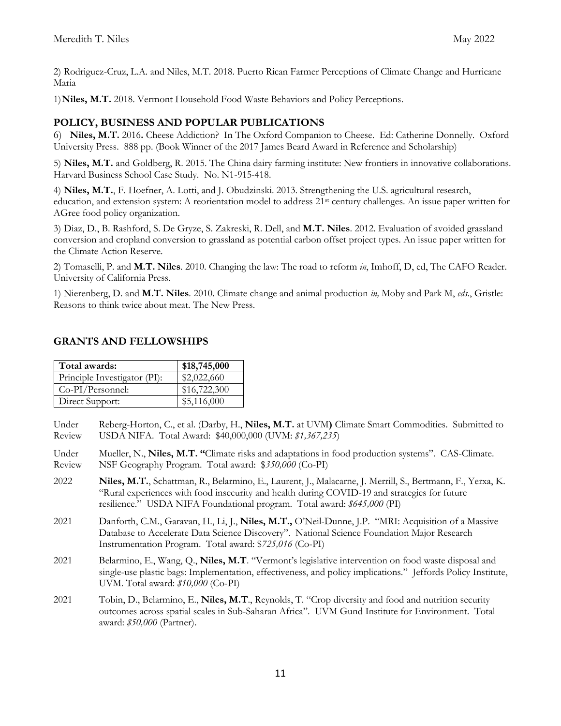2) Rodriguez-Cruz, L.A. and Niles, M.T. 2018. Puerto Rican Farmer Perceptions of Climate Change and Hurricane Maria

1)**Niles, M.T.** 2018. Vermont Household Food Waste Behaviors and Policy Perceptions.

## **POLICY, BUSINESS AND POPULAR PUBLICATIONS**

6) **Niles, M.T.** 2016**.** Cheese Addiction? In The Oxford Companion to Cheese. Ed: Catherine Donnelly. Oxford University Press. 888 pp. (Book Winner of the 2017 James Beard Award in Reference and Scholarship)

5) **Niles, M.T.** and Goldberg, R. 2015. The China dairy farming institute: New frontiers in innovative collaborations. Harvard Business School Case Study. No. N1-915-418.

4) **Niles, M.T.**, F. Hoefner, A. Lotti, and J. Obudzinski. 2013. Strengthening the U.S. agricultural research, education, and extension system: A reorientation model to address 21st century challenges. An issue paper written for AGree food policy organization.

3) Diaz, D., B. Rashford, S. De Gryze, S. Zakreski, R. Dell, and **M.T. Niles**. 2012. Evaluation of avoided grassland conversion and cropland conversion to grassland as potential carbon offset project types. An issue paper written for the Climate Action Reserve.

2) Tomaselli, P. and **M.T. Niles**. 2010. Changing the law: The road to reform *in*, Imhoff, D, ed, The CAFO Reader. University of California Press.

1) Nierenberg, D. and **M.T. Niles**. 2010. Climate change and animal production *in,* Moby and Park M, *eds*., Gristle: Reasons to think twice about meat. The New Press.

## **GRANTS AND FELLOWSHIPS**

| Total awards:                | \$18,745,000 |
|------------------------------|--------------|
| Principle Investigator (PI): | \$2,022,660  |
| Co-PI/Personnel:             | \$16,722,300 |
| Direct Support:              | \$5,116,000  |

- Under Reberg-Horton, C., et al. (Darby, H., **Niles, M.T.** at UVM**)** Climate Smart Commodities. Submitted to Review USDA NIFA. Total Award: \$40,000,000 (UVM: *\$1,367,235*)
- Under Mueller, N., **Niles, M.T. "**Climate risks and adaptations in food production systems". CAS-Climate. Review NSF Geography Program. Total award: \$*350,000* (Co-PI)
- 2022 **Niles, M.T.**, Schattman, R., Belarmino, E., Laurent, J., Malacarne, J. Merrill, S., Bertmann, F., Yerxa, K. "Rural experiences with food insecurity and health during COVID-19 and strategies for future resilience." USDA NIFA Foundational program. Total award: *\$645,000* (PI)
- 2021 Danforth, C.M., Garavan, H., Li, J., **Niles, M.T.,** O'Neil-Dunne, J.P. "MRI: Acquisition of a Massive Database to Accelerate Data Science Discovery". National Science Foundation Major Research Instrumentation Program. Total award: \$*725,016* (Co-PI)
- 2021 Belarmino, E., Wang, Q., **Niles, M.T**. "Vermont's legislative intervention on food waste disposal and single-use plastic bags: Implementation, effectiveness, and policy implications." Jeffords Policy Institute, UVM. Total award: *\$10,000* (Co-PI)
- 2021 Tobin, D., Belarmino, E., **Niles, M.T**., Reynolds, T. "Crop diversity and food and nutrition security outcomes across spatial scales in Sub-Saharan Africa". UVM Gund Institute for Environment. Total award: *\$50,000* (Partner).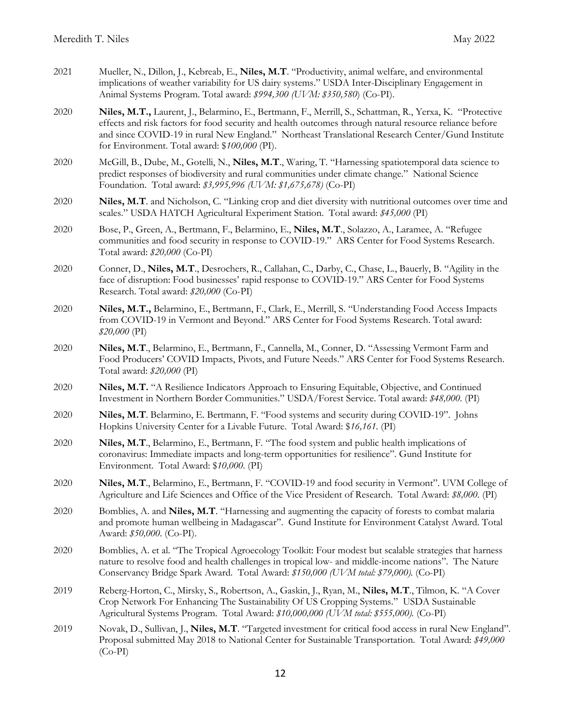- 2021 Mueller, N., Dillon, J., Kebreab, E., **Niles, M.T**. "Productivity, animal welfare, and environmental implications of weather variability for US dairy systems." USDA Inter-Disciplinary Engagement in Animal Systems Program. Total award: *\$994,300 (UVM: \$350,580*) (Co-PI).
- 2020 **Niles, M.T.,** Laurent, J., Belarmino, E., Bertmann, F., Merrill, S., Schattman, R., Yerxa, K. "Protective effects and risk factors for food security and health outcomes through natural resource reliance before and since COVID-19 in rural New England." Northeast Translational Research Center/Gund Institute for Environment. Total award: \$*100,000* (PI).
- 2020 McGill, B., Dube, M., Gotelli, N., **Niles, M.T**., Waring, T. "Harnessing spatiotemporal data science to predict responses of biodiversity and rural communities under climate change." National Science Foundation. Total award: *\$3,995,996 (UVM: \$1,675,678)* (Co-PI)
- 2020 **Niles, M.T**. and Nicholson, C. "Linking crop and diet diversity with nutritional outcomes over time and scales." USDA HATCH Agricultural Experiment Station. Total award: *\$45,000* (PI)
- 2020 Bose, P., Green, A., Bertmann, F., Belarmino, E., **Niles, M.T**., Solazzo, A., Laramee, A. "Refugee communities and food security in response to COVID-19." ARS Center for Food Systems Research. Total award: *\$20,000* (Co-PI)
- 2020 Conner, D., **Niles, M.T**., Desrochers, R., Callahan, C., Darby, C., Chase, L., Bauerly, B. "Agility in the face of disruption: Food businesses' rapid response to COVID-19." ARS Center for Food Systems Research. Total award: *\$20,000* (Co-PI)
- 2020 **Niles, M.T.,** Belarmino, E., Bertmann, F., Clark, E., Merrill, S. "Understanding Food Access Impacts from COVID-19 in Vermont and Beyond." ARS Center for Food Systems Research. Total award: *\$20,000* (PI)
- 2020 **Niles, M.T**., Belarmino, E., Bertmann, F., Cannella, M., Conner, D. "Assessing Vermont Farm and Food Producers' COVID Impacts, Pivots, and Future Needs." ARS Center for Food Systems Research. Total award: *\$20,000* (PI)
- 2020 **Niles, M.T.** "A Resilience Indicators Approach to Ensuring Equitable, Objective, and Continued Investment in Northern Border Communities." USDA/Forest Service. Total award: *\$48,000*. (PI)
- 2020 **Niles, M.T**. Belarmino, E. Bertmann, F. "Food systems and security during COVID-19". Johns Hopkins University Center for a Livable Future. Total Award: \$*16,161.* (PI)
- 2020 **Niles, M.T**., Belarmino, E., Bertmann, F. "The food system and public health implications of coronavirus: Immediate impacts and long-term opportunities for resilience". Gund Institute for Environment. Total Award: \$*10,000*. (PI)
- 2020 **Niles, M.T**., Belarmino, E., Bertmann, F. "COVID-19 and food security in Vermont". UVM College of Agriculture and Life Sciences and Office of the Vice President of Research. Total Award: *\$8,000*. (PI)
- 2020 Bomblies, A. and **Niles, M.T**. "Harnessing and augmenting the capacity of forests to combat malaria and promote human wellbeing in Madagascar". Gund Institute for Environment Catalyst Award. Total Award: *\$50,000*. (Co-PI).
- 2020 Bomblies, A. et al. "The Tropical Agroecology Toolkit: Four modest but scalable strategies that harness nature to resolve food and health challenges in tropical low- and middle-income nations". The Nature Conservancy Bridge Spark Award. Total Award: *\$150,000 (UVM total: \$79,000).* (Co-PI)
- 2019 Reberg-Horton, C., Mirsky, S., Robertson, A., Gaskin, J., Ryan, M., **Niles, M.T**., Tilmon, K. "A Cover Crop Network For Enhancing The Sustainability Of US Cropping Systems." USDA Sustainable Agricultural Systems Program. Total Award: *\$10,000,000 (UVM total: \$555,000).* (Co-PI)
- 2019 Novak, D., Sullivan, J., **Niles, M.T**. "Targeted investment for critical food access in rural New England". Proposal submitted May 2018 to National Center for Sustainable Transportation. Total Award: *\$49,000* (Co-PI)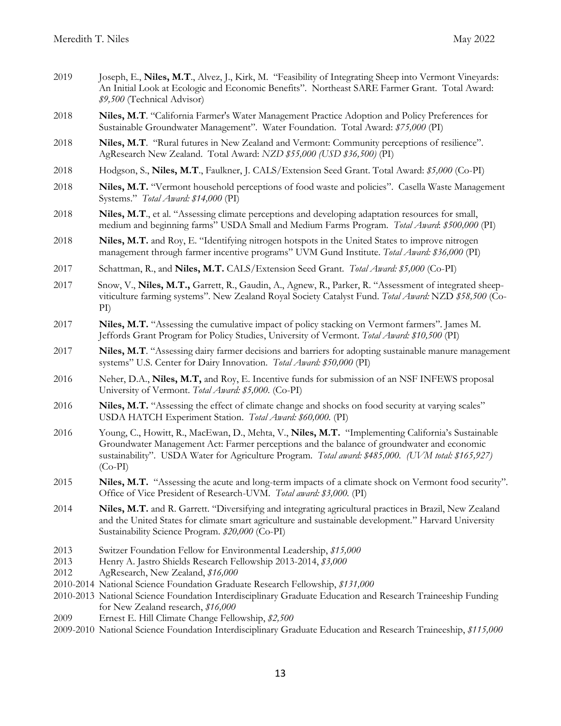- 2019 Joseph, E., **Niles, M.T**., Alvez, J., Kirk, M. "Feasibility of Integrating Sheep into Vermont Vineyards: An Initial Look at Ecologic and Economic Benefits". Northeast SARE Farmer Grant. Total Award: *\$9,500* (Technical Advisor)
- 2018 **Niles, M.T**. "California Farmer's Water Management Practice Adoption and Policy Preferences for Sustainable Groundwater Management". Water Foundation. Total Award: *\$75,000* (PI)
- 2018 **Niles, M.T**. "Rural futures in New Zealand and Vermont: Community perceptions of resilience". AgResearch New Zealand. Total Award: *NZD \$55,000 (USD \$36,500)* (PI)
- 2018 Hodgson, S., **Niles, M.T**., Faulkner, J. CALS/Extension Seed Grant. Total Award: *\$5,000* (Co-PI)
- 2018 **Niles, M.T.** "Vermont household perceptions of food waste and policies". Casella Waste Management Systems." *Total Award: \$14,000* (PI)
- 2018 **Niles, M.T**., et al. "Assessing climate perceptions and developing adaptation resources for small, medium and beginning farms" USDA Small and Medium Farms Program. *Total Award*: *\$500,000* (PI)
- 2018 **Niles, M.T.** and Roy, E. "Identifying nitrogen hotspots in the United States to improve nitrogen management through farmer incentive programs" UVM Gund Institute. *Total Award: \$36,000* (PI)
- 2017 Schattman, R., and **Niles, M.T.** CALS/Extension Seed Grant. *Total Award: \$5,000* (Co-PI)
- 2017 Snow, V., **Niles, M.T.,** Garrett, R., Gaudin, A., Agnew, R., Parker, R. "Assessment of integrated sheepviticulture farming systems". New Zealand Royal Society Catalyst Fund. *Total Award:* NZD *\$58,500* (Co-PI)
- 2017 **Niles, M.T.** "Assessing the cumulative impact of policy stacking on Vermont farmers". James M. Jeffords Grant Program for Policy Studies, University of Vermont. *Total Award: \$10,500* (PI)
- 2017 **Niles, M.T**. "Assessing dairy farmer decisions and barriers for adopting sustainable manure management systems" U.S. Center for Dairy Innovation. *Total Award: \$50,000* (PI)
- 2016 Neher, D.A., **Niles, M.T,** and Roy, E. Incentive funds for submission of an NSF INFEWS proposal University of Vermont. *Total Award: \$5,000.* (Co-PI)
- 2016 **Niles, M.T.** "Assessing the effect of climate change and shocks on food security at varying scales" USDA HATCH Experiment Station. *Total Award: \$60,000.* (PI)
- 2016 Young, C., Howitt, R., MacEwan, D., Mehta, V., **Niles, M.T.** "Implementing California's Sustainable Groundwater Management Act: Farmer perceptions and the balance of groundwater and economic sustainability". USDA Water for Agriculture Program. *Total award: \$485,000. (UVM total: \$165,927)* (Co-PI)
- 2015 **Niles, M.T.** "Assessing the acute and long-term impacts of a climate shock on Vermont food security". Office of Vice President of Research-UVM. *Total award: \$3,000.* (PI)
- 2014 **Niles, M.T.** and R. Garrett. "Diversifying and integrating agricultural practices in Brazil, New Zealand and the United States for climate smart agriculture and sustainable development." Harvard University Sustainability Science Program. *\$20,000* (Co-PI)
- 2013 Switzer Foundation Fellow for Environmental Leadership, *\$15,000*
- 2013 Henry A. Jastro Shields Research Fellowship 2013-2014, *\$3,000*
- 2012 AgResearch, New Zealand, *\$16,000*
- 2010-2014 National Science Foundation Graduate Research Fellowship, *\$131,000*
- 2010-2013 National Science Foundation Interdisciplinary Graduate Education and Research Traineeship Funding for New Zealand research, *\$16,000*
- 2009 Ernest E. Hill Climate Change Fellowship, *\$2,500*
- 2009-2010 National Science Foundation Interdisciplinary Graduate Education and Research Traineeship, *\$115,000*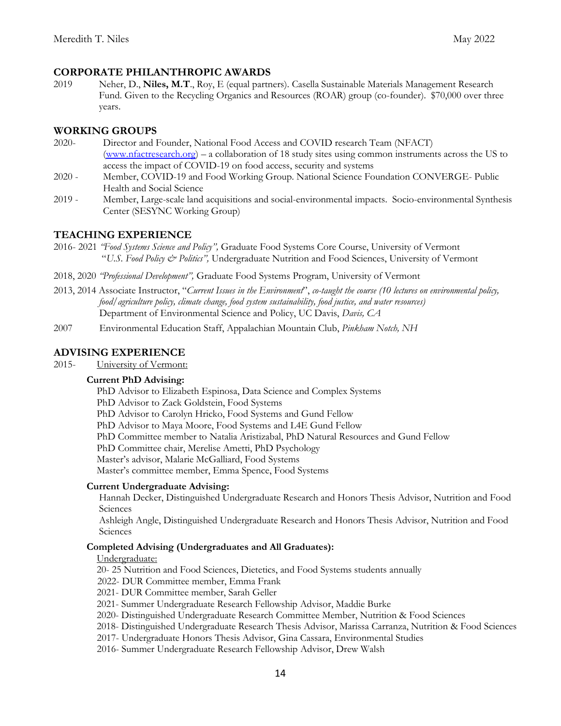### **CORPORATE PHILANTHROPIC AWARDS**

2019 Neher, D., **Niles, M.T**., Roy, E (equal partners). Casella Sustainable Materials Management Research Fund. Given to the Recycling Organics and Resources (ROAR) group (co-founder). \$70,000 over three years.

### **WORKING GROUPS**

- 2020- Director and Founder, National Food Access and COVID research Team (NFACT) [\(www.nfactresearch.org\)](http://www.nfactresearch.org/) – a collaboration of 18 study sites using common instruments across the US to access the impact of COVID-19 on food access, security and systems
- 2020 Member, COVID-19 and Food Working Group. National Science Foundation CONVERGE- Public Health and Social Science
- 2019 Member, Large-scale land acquisitions and social-environmental impacts. Socio-environmental Synthesis Center (SESYNC Working Group)

### **TEACHING EXPERIENCE**

- 2016- 2021 *"Food Systems Science and Policy",* Graduate Food Systems Core Course, University of Vermont "*U.S. Food Policy & Politics",* Undergraduate Nutrition and Food Sciences, University of Vermont
- 2018, 2020 *"Professional Development",* Graduate Food Systems Program, University of Vermont
- 2013, 2014 Associate Instructor, "*Current Issues in the Environment*", *co-taught the course (10 lectures on environmental policy, food/agriculture policy, climate change, food system sustainability, food justice, and water resources)* Department of Environmental Science and Policy, UC Davis, *Davis, CA*
- 2007 Environmental Education Staff, Appalachian Mountain Club, *Pinkham Notch, NH*

## **ADVISING EXPERIENCE**

2015- University of Vermont:

#### **Current PhD Advising:**

PhD Advisor to Elizabeth Espinosa, Data Science and Complex Systems

PhD Advisor to Zack Goldstein, Food Systems

PhD Advisor to Carolyn Hricko, Food Systems and Gund Fellow

PhD Advisor to Maya Moore, Food Systems and L4E Gund Fellow

PhD Committee member to Natalia Aristizabal, PhD Natural Resources and Gund Fellow

PhD Committee chair, Merelise Ametti, PhD Psychology

Master's advisor, Malarie McGalliard, Food Systems

Master's committee member, Emma Spence, Food Systems

#### **Current Undergraduate Advising:**

Hannah Decker, Distinguished Undergraduate Research and Honors Thesis Advisor, Nutrition and Food **Sciences** 

Ashleigh Angle, Distinguished Undergraduate Research and Honors Thesis Advisor, Nutrition and Food **Sciences** 

#### **Completed Advising (Undergraduates and All Graduates):**

#### Undergraduate:

20- 25 Nutrition and Food Sciences, Dietetics, and Food Systems students annually

2022- DUR Committee member, Emma Frank

2021- DUR Committee member, Sarah Geller

2021- Summer Undergraduate Research Fellowship Advisor, Maddie Burke

2020- Distinguished Undergraduate Research Committee Member, Nutrition & Food Sciences

2018- Distinguished Undergraduate Research Thesis Advisor, Marissa Carranza, Nutrition & Food Sciences

2017- Undergraduate Honors Thesis Advisor, Gina Cassara, Environmental Studies

2016- Summer Undergraduate Research Fellowship Advisor, Drew Walsh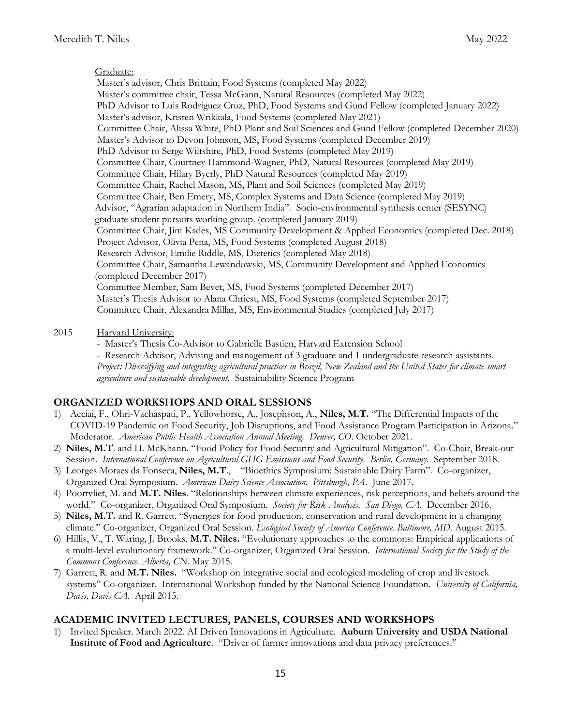#### Graduate:

 Master's advisor, Chris Brittain, Food Systems (completed May 2022) Master's committee chair, Tessa McGann, Natural Resources (completed May 2022) PhD Advisor to Luis Rodriguez Cruz, PhD, Food Systems and Gund Fellow (completed January 2022) Master's advisor, Kristen Wrikkala, Food Systems (completed May 2021) Committee Chair, Alissa White, PhD Plant and Soil Sciences and Gund Fellow (completed December 2020) Master's Advisor to Devon Johnson, MS, Food Systems (completed December 2019) PhD Advisor to Serge Wiltshire, PhD, Food Systems (completed May 2019) Committee Chair, Courtney Hammond-Wagner, PhD, Natural Resources (completed May 2019) Committee Chair, Hilary Byerly, PhD Natural Resources (completed May 2019) Committee Chair, Rachel Mason, MS, Plant and Soil Sciences (completed May 2019) Committee Chair, Ben Emery, MS, Complex Systems and Data Science (completed May 2019) Advisor, "Agrarian adaptation in Northern India". Socio-environmental synthesis center (SESYNC) graduate student pursuits working group. (completed January 2019) Committee Chair, Jini Kades, MS Community Development & Applied Economics (completed Dec. 2018) Project Advisor, Olivia Pena, MS, Food Systems (completed August 2018) Research Advisor, Emilie Riddle, MS, Dietetics (completed May 2018) Committee Chair, Samantha Lewandowski, MS, Community Development and Applied Economics (completed December 2017) Committee Member, Sam Bevet, MS, Food Systems (completed December 2017) Master's Thesis Advisor to Alana Chriest, MS, Food Systems (completed September 2017) Committee Chair, Alexandra Millar, MS, Environmental Studies (completed July 2017)

#### 2015 Harvard University:

- Master's Thesis Co-Advisor to Gabrielle Bastien, Harvard Extension School

 - Research Advisor, Advising and management of 3 graduate and 1 undergraduate research assistants. *Project***:** *Diversifying and integrating agricultural practices in Brazil, New Zealand and the United States for climate smart agriculture and sustainable development.* Sustainability Science Program

#### **ORGANIZED WORKSHOPS AND ORAL SESSIONS**

- 1) Acciai, F., Ohri-Vachaspati, P., Yellowhorse, A., Josephson, A., **Niles, M.T.** "The Differential Impacts of the COVID-19 Pandemic on Food Security, Job Disruptions, and Food Assistance Program Participation in Arizona." Moderator. *American Public Health Association Annual Meeting. Denver, CO*. October 2021.
- 2) **Niles, M.T**. and H. McKhann. "Food Policy for Food Security and Agricultural Mitigation". Co-Chair, Break-out Session. *International Conference on Agricultural GHG Emissions and Food Security. Berlin, Germany.* September 2018.
- 3) Leorges Moraes da Fonseca, **Niles, M.T**., "Bioethics Symposium: Sustainable Dairy Farm". Co-organizer, Organized Oral Symposium. *American Dairy Science Association. Pittsburgh, PA*. June 2017.
- 4) Poortvliet, M. and **M.T. Niles**. "Relationships between climate experiences, risk perceptions, and beliefs around the world." Co-organizer, Organized Oral Symposium. *Society for Risk Analysis. San Diego, CA*. December 2016.
- 5) **Niles, M.T.** and R. Garrett. "Synergies for food production, conservation and rural development in a changing climate." Co-organizer, Organized Oral Session. *Ecological Society of America Conference. Baltimore, MD.* August 2015.
- 6) Hillis, V., T. Waring, J. Brooks, **M.T. Niles.** "Evolutionary approaches to the commons: Empirical applications of a multi-level evolutionary framework." Co-organizer, Organized Oral Session. *International Society for the Study of the Commons Conference. Alberta, CN.* May 2015.
- 7) Garrett, R. and **M.T. Niles.** "Workshop on integrative social and ecological modeling of crop and livestock systems" Co-organizer. International Workshop funded by the National Science Foundation. *University of California, Davis, Davis CA*. April 2015.

## **ACADEMIC INVITED LECTURES, PANELS, COURSES AND WORKSHOPS**

1) Invited Speaker. March 2022. AI Driven Innovations in Agriculture. **Auburn University and USDA National Institute of Food and Agriculture**. "Driver of farmer innovations and data privacy preferences."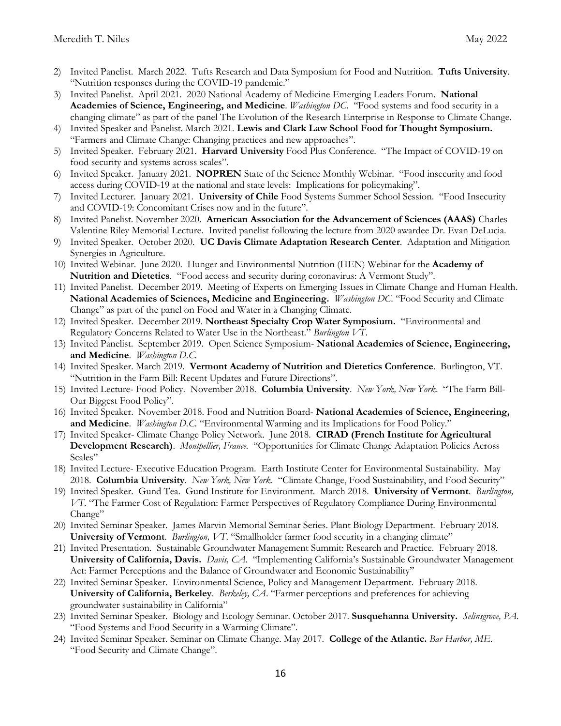- 2) Invited Panelist. March 2022. Tufts Research and Data Symposium for Food and Nutrition. **Tufts University**. "Nutrition responses during the COVID-19 pandemic."
- 3) Invited Panelist. April 2021. 2020 National Academy of Medicine Emerging Leaders Forum. **National Academies of Science, Engineering, and Medicine**. *Washington DC*. "Food systems and food security in a changing climate" as part of the panel The Evolution of the Research Enterprise in Response to Climate Change.
- 4) Invited Speaker and Panelist. March 2021. **Lewis and Clark Law School Food for Thought Symposium.** "Farmers and Climate Change: Changing practices and new approaches".
- 5) Invited Speaker. February 2021. **Harvard University** Food Plus Conference. "The Impact of COVID-19 on food security and systems across scales".
- 6) Invited Speaker. January 2021. **NOPREN** State of the Science Monthly Webinar. "Food insecurity and food access during COVID-19 at the national and state levels: Implications for policymaking".
- 7) Invited Lecturer. January 2021. **University of Chile** Food Systems Summer School Session. "Food Insecurity and COVID-19: Concomitant Crises now and in the future".
- 8) Invited Panelist. November 2020. **American Association for the Advancement of Sciences (AAAS)** Charles Valentine Riley Memorial Lecture. Invited panelist following the lecture from 2020 awardee Dr. Evan DeLucia.
- 9) Invited Speaker. October 2020. **UC Davis Climate Adaptation Research Center**. Adaptation and Mitigation Synergies in Agriculture.
- 10) Invited Webinar. June 2020. Hunger and Environmental Nutrition (HEN) Webinar for the **Academy of Nutrition and Dietetics**. "Food access and security during coronavirus: A Vermont Study".
- 11) Invited Panelist. December 2019. Meeting of Experts on Emerging Issues in Climate Change and Human Health. **National Academies of Sciences, Medicine and Engineering.** *Washington DC*. "Food Security and Climate Change" as part of the panel on Food and Water in a Changing Climate.
- 12) Invited Speaker. December 2019. **Northeast Specialty Crop Water Symposium.** "Environmental and Regulatory Concerns Related to Water Use in the Northeast." *Burlington VT*.
- 13) Invited Panelist. September 2019. Open Science Symposium- **National Academies of Science, Engineering, and Medicine**. *Washington D.C.*
- 14) Invited Speaker. March 2019. **Vermont Academy of Nutrition and Dietetics Conference**. Burlington, VT. "Nutrition in the Farm Bill: Recent Updates and Future Directions".
- 15) Invited Lecture- Food Policy. November 2018. **Columbia University**. *New York, New York*. "The Farm Bill-Our Biggest Food Policy".
- 16) Invited Speaker. November 2018. Food and Nutrition Board- **National Academies of Science, Engineering, and Medicine**. *Washington D.C.* "Environmental Warming and its Implications for Food Policy."
- 17) Invited Speaker- Climate Change Policy Network. June 2018. **CIRAD (French Institute for Agricultural Development Research)**. *Montpellier, France.* "Opportunities for Climate Change Adaptation Policies Across Scales"
- 18) Invited Lecture- Executive Education Program. Earth Institute Center for Environmental Sustainability. May 2018. **Columbia University**. *New York, New York*. "Climate Change, Food Sustainability, and Food Security"
- 19) Invited Speaker. Gund Tea. Gund Institute for Environment. March 2018. **University of Vermont**. *Burlington, VT*. "The Farmer Cost of Regulation: Farmer Perspectives of Regulatory Compliance During Environmental Change"
- 20) Invited Seminar Speaker. James Marvin Memorial Seminar Series. Plant Biology Department. February 2018. **University of Vermont**. *Burlington, VT*. "Smallholder farmer food security in a changing climate"
- 21) Invited Presentation. Sustainable Groundwater Management Summit: Research and Practice. February 2018. **University of California, Davis.** *Davis, CA.* "Implementing California's Sustainable Groundwater Management Act: Farmer Perceptions and the Balance of Groundwater and Economic Sustainability"
- 22) Invited Seminar Speaker. Environmental Science, Policy and Management Department. February 2018. **University of California, Berkeley**. *Berkeley, CA*. "Farmer perceptions and preferences for achieving groundwater sustainability in California"
- 23) Invited Seminar Speaker. Biology and Ecology Seminar. October 2017. **Susquehanna University.** *Selinsgrove, PA*. "Food Systems and Food Security in a Warming Climate".
- 24) Invited Seminar Speaker. Seminar on Climate Change. May 2017. **College of the Atlantic.** *Bar Harbor, ME*. "Food Security and Climate Change".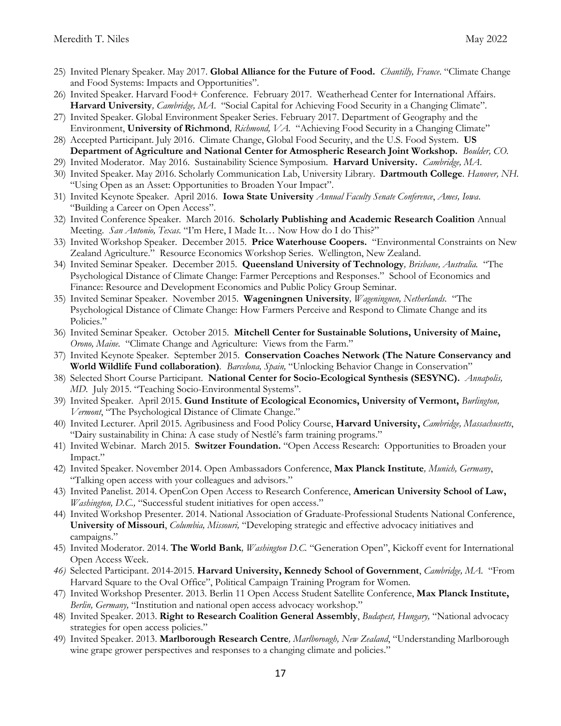- 25) Invited Plenary Speaker. May 2017. **Global Alliance for the Future of Food.** *Chantilly, France*. "Climate Change and Food Systems: Impacts and Opportunities".
- 26) Invited Speaker. Harvard Food+ Conference. February 2017. Weatherhead Center for International Affairs. **Harvard University***, Cambridge, MA*. "Social Capital for Achieving Food Security in a Changing Climate".
- 27) Invited Speaker. Global Environment Speaker Series. February 2017. Department of Geography and the Environment, **University of Richmond***, Richmond, VA.* "Achieving Food Security in a Changing Climate"
- 28) Accepted Participant. July 2016. Climate Change, Global Food Security, and the U.S. Food System. **US Department of Agriculture and National Center for Atmospheric Research Joint Workshop.** *Boulder, CO.*
- 29) Invited Moderator. May 2016. Sustainability Science Symposium*.* **Harvard University.** *Cambridge, MA*.
- 30) Invited Speaker. May 2016. Scholarly Communication Lab, University Library. **Dartmouth College***. Hanover, NH.*  "Using Open as an Asset: Opportunities to Broaden Your Impact".
- 31) Invited Keynote Speaker. April 2016. **Iowa State University** *Annual Faculty Senate Conference*, *Ames, Iowa*. "Building a Career on Open Access".
- 32) Invited Conference Speaker. March 2016. **Scholarly Publishing and Academic Research Coalition** Annual Meeting. *San Antonio, Texas.* "I'm Here, I Made It… Now How do I do This?"
- 33) Invited Workshop Speaker. December 2015. **Price Waterhouse Coopers.** "Environmental Constraints on New Zealand Agriculture." Resource Economics Workshop Series. Wellington, New Zealand.
- 34) Invited Seminar Speaker. December 2015. **Queensland University of Technology***, Brisbane, Australia.* "The Psychological Distance of Climate Change: Farmer Perceptions and Responses." School of Economics and Finance: Resource and Development Economics and Public Policy Group Seminar.
- 35) Invited Seminar Speaker. November 2015. **Wageningnen University***, Wageningnen, Netherlands.* "The Psychological Distance of Climate Change: How Farmers Perceive and Respond to Climate Change and its Policies."
- 36) Invited Seminar Speaker. October 2015. **Mitchell Center for Sustainable Solutions, University of Maine,** *Orono, Maine.* "Climate Change and Agriculture: Views from the Farm."
- 37) Invited Keynote Speaker. September 2015. **Conservation Coaches Network (The Nature Conservancy and World Wildlife Fund collaboration)***. Barcelona, Spain,* "Unlocking Behavior Change in Conservation"
- 38) Selected Short Course Participant. **National Center for Socio-Ecological Synthesis (SESYNC).** *Annapolis, MD.* July 2015. "Teaching Socio-Environmental Systems".
- 39) Invited Speaker. April 2015. **Gund Institute of Ecological Economics, University of Vermont,** *Burlington, Vermont*, "The Psychological Distance of Climate Change."
- 40) Invited Lecturer. April 2015. Agribusiness and Food Policy Course, **Harvard University,** *Cambridge, Massachusetts*, "Dairy sustainability in China: A case study of Nestlé's farm training programs."
- 41) Invited Webinar. March 2015. **Switzer Foundation.** "Open Access Research: Opportunities to Broaden your Impact."
- 42) Invited Speaker. November 2014. Open Ambassadors Conference, **Max Planck Institute***, Munich, Germany*, "Talking open access with your colleagues and advisors."
- 43) Invited Panelist. 2014. OpenCon Open Access to Research Conference, **American University School of Law,** *Washington, D.C.,* "Successful student initiatives for open access."
- 44) Invited Workshop Presenter. 2014. National Association of Graduate-Professional Students National Conference, **University of Missouri**, *Columbia, Missouri,* "Developing strategic and effective advocacy initiatives and campaigns."
- 45) Invited Moderator. 2014. **The World Bank***, Washington D.C.* "Generation Open", Kickoff event for International Open Access Week.
- *46)* Selected Participant. 2014-2015. **Harvard University, Kennedy School of Government**, *Cambridge, MA.* "From Harvard Square to the Oval Office", Political Campaign Training Program for Women.
- 47) Invited Workshop Presenter. 2013. Berlin 11 Open Access Student Satellite Conference, **Max Planck Institute,** *Berlin, Germany,* "Institution and national open access advocacy workshop."
- 48) Invited Speaker. 2013. **Right to Research Coalition General Assembly**, *Budapest, Hungary,* "National advocacy strategies for open access policies."
- 49) Invited Speaker. 2013. **Marlborough Research Centre***, Marlborough, New Zealand*, "Understanding Marlborough wine grape grower perspectives and responses to a changing climate and policies."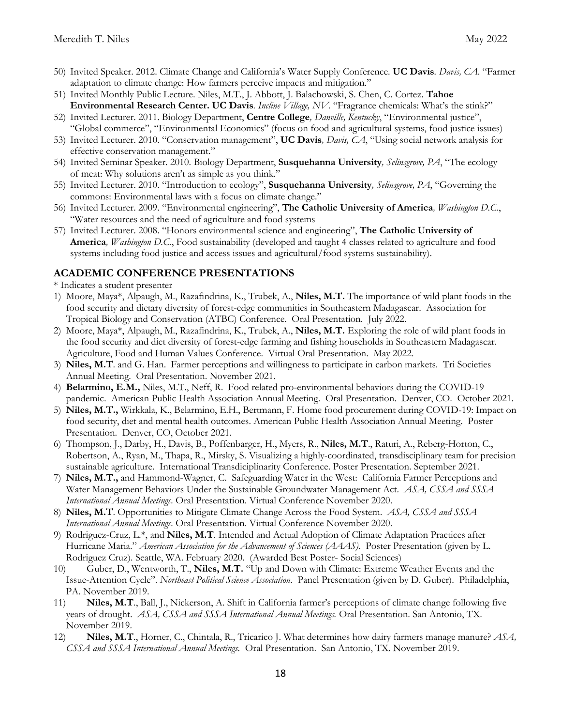- 50) Invited Speaker. 2012. Climate Change and California's Water Supply Conference. **UC Davis***. Davis, CA*. "Farmer adaptation to climate change: How farmers perceive impacts and mitigation."
- 51) Invited Monthly Public Lecture. Niles, M.T., J. Abbott, J. Balachowski, S. Chen, C. Cortez. **Tahoe Environmental Research Center. UC Davis***. Incline Village, NV.* "Fragrance chemicals: What's the stink?"
- 52) Invited Lecturer. 2011. Biology Department, **Centre College***, Danville, Kentucky*, "Environmental justice", "Global commerce", "Environmental Economics" (focus on food and agricultural systems, food justice issues)
- 53) Invited Lecturer. 2010. "Conservation management", **UC Davis***, Davis, CA*, "Using social network analysis for effective conservation management."
- 54) Invited Seminar Speaker. 2010. Biology Department, **Susquehanna University***, Selinsgrove, PA*, "The ecology of meat: Why solutions aren't as simple as you think."
- 55) Invited Lecturer. 2010. "Introduction to ecology", **Susquehanna University***, Selinsgrove, PA*, "Governing the commons: Environmental laws with a focus on climate change."
- 56) Invited Lecturer. 2009. "Environmental engineering", **The Catholic University of America***, Washington D.C.*, "Water resources and the need of agriculture and food systems
- 57) Invited Lecturer. 2008. "Honors environmental science and engineering", **The Catholic University of America***, Washington D.C.*, Food sustainability (developed and taught 4 classes related to agriculture and food systems including food justice and access issues and agricultural/food systems sustainability).

### **ACADEMIC CONFERENCE PRESENTATIONS**

\* Indicates a student presenter

- 1) Moore, Maya\*, Alpaugh, M., Razafindrina, K., Trubek, A., **Niles, M.T.** The importance of wild plant foods in the food security and dietary diversity of forest-edge communities in Southeastern Madagascar. Association for Tropical Biology and Conservation (ATBC) Conference. Oral Presentation. July 2022.
- 2) Moore, Maya\*, Alpaugh, M., Razafindrina, K., Trubek, A., **Niles, M.T.** Exploring the role of wild plant foods in the food security and diet diversity of forest-edge farming and fishing households in Southeastern Madagascar. Agriculture, Food and Human Values Conference. Virtual Oral Presentation. May 2022.
- 3) **Niles, M.T**. and G. Han. Farmer perceptions and willingness to participate in carbon markets. Tri Societies Annual Meeting. Oral Presentation. November 2021.
- 4) **Belarmino, E.M.,** Niles, M.T., Neff, R. Food related pro-environmental behaviors during the COVID-19 pandemic. American Public Health Association Annual Meeting. Oral Presentation. Denver, CO. October 2021.
- 5) **Niles, M.T.,** Wirkkala, K., Belarmino, E.H., Bertmann, F. Home food procurement during COVID-19: Impact on food security, diet and mental health outcomes. American Public Health Association Annual Meeting. Poster Presentation. Denver, CO, October 2021.
- 6) Thompson, J., Darby, H., Davis, B., Poffenbarger, H., Myers, R., **Niles, M.T**., Raturi, A., Reberg-Horton, C., Robertson, A., Ryan, M., Thapa, R., Mirsky, S. Visualizing a highly-coordinated, transdisciplinary team for precision sustainable agriculture. International Transdiciplinarity Conference. Poster Presentation. September 2021.
- 7) **Niles, M.T.,** and Hammond-Wagner, C. Safeguarding Water in the West: California Farmer Perceptions and Water Management Behaviors Under the Sustainable Groundwater Management Act. *ASA, CSSA and SSSA International Annual Meetings.* Oral Presentation. Virtual Conference November 2020.
- 8) **Niles, M.T**. Opportunities to Mitigate Climate Change Across the Food System. *ASA, CSSA and SSSA International Annual Meetings.* Oral Presentation. Virtual Conference November 2020.
- 9) Rodriguez-Cruz, L.\*, and **Niles, M.T**. Intended and Actual Adoption of Climate Adaptation Practices after Hurricane Maria." *American Association for the Advancement of Sciences (AAAS)*. Poster Presentation (given by L. Rodriguez Cruz). Seattle, WA. February 2020. (Awarded Best Poster- Social Sciences)
- 10) Guber, D., Wentworth, T., **Niles, M.T.** "Up and Down with Climate: Extreme Weather Events and the Issue-Attention Cycle". *Northeast Political Science Association*. Panel Presentation (given by D. Guber). Philadelphia, PA. November 2019.
- 11) **Niles, M.T**., Ball, J., Nickerson, A. Shift in California farmer's perceptions of climate change following five years of drought. *ASA, CSSA and SSSA International Annual Meetings.* Oral Presentation. San Antonio, TX. November 2019.
- 12) **Niles, M.T**., Horner, C., Chintala, R., Tricarico J. What determines how dairy farmers manage manure? *ASA, CSSA and SSSA International Annual Meetings.* Oral Presentation. San Antonio, TX. November 2019.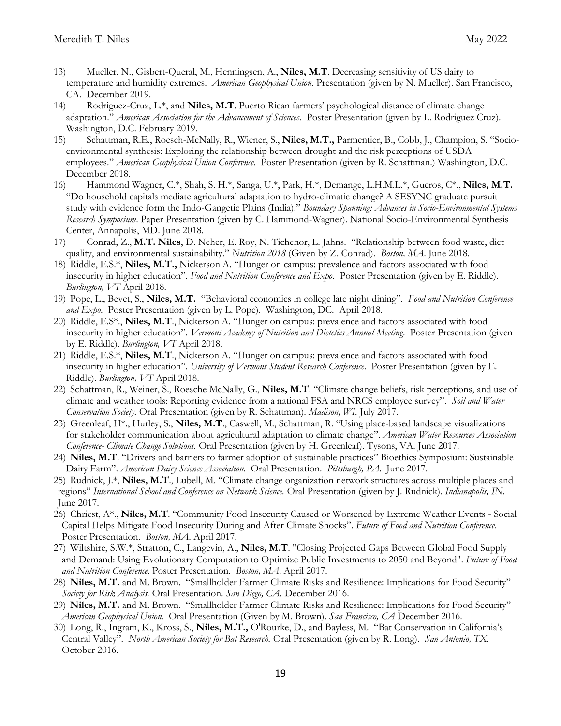- 13) Mueller, N., Gisbert-Queral, M., Henningsen, A., **Niles, M.T**. Decreasing sensitivity of US dairy to temperature and humidity extremes. *American Geophysical Union*. Presentation (given by N. Mueller). San Francisco, CA. December 2019.
- 14) Rodriguez-Cruz, L.\*, and **Niles, M.T**. Puerto Rican farmers' psychological distance of climate change adaptation." *American Association for the Advancement of Sciences*. Poster Presentation (given by L. Rodriguez Cruz). Washington, D.C. February 2019.
- 15) Schattman, R.E., Roesch-McNally, R., Wiener, S., **Niles, M.T.,** Parmentier, B., Cobb, J., Champion, S. "Socioenvironmental synthesis: Exploring the relationship between drought and the risk perceptions of USDA employees." *American Geophysical Union Conference*. Poster Presentation (given by R. Schattman.) Washington, D.C. December 2018.
- 16) Hammond Wagner, C.\*, Shah, S. H.\*, Sanga, U.\*, Park, H.\*, Demange, L.H.M.L.\*, Gueros, C\*., **Niles, M.T.** "Do household capitals mediate agricultural adaptation to hydro-climatic change? A SESYNC graduate pursuit study with evidence form the Indo-Gangetic Plains (India)." *Boundary Spanning: Advances in Socio-Environmental Systems Research Symposium*. Paper Presentation (given by C. Hammond-Wagner). National Socio-Environmental Synthesis Center, Annapolis, MD. June 2018.
- 17) Conrad, Z., **M.T. Niles**, D. Neher, E. Roy, N. Tichenor, L. Jahns. "Relationship between food waste, diet quality, and environmental sustainability." *Nutrition 2018* (Given by Z. Conrad). *Boston, MA*. June 2018.
- 18) Riddle, E.S.\*, **Niles, M.T.,** Nickerson A. "Hunger on campus: prevalence and factors associated with food insecurity in higher education". *Food and Nutrition Conference and Expo*. Poster Presentation (given by E. Riddle). *Burlington, VT* April 2018.
- 19) Pope, L., Bevet, S., **Niles, M.T.** "Behavioral economics in college late night dining". *Food and Nutrition Conference and Expo*. Poster Presentation (given by L. Pope). Washington, DC. April 2018.
- 20) Riddle, E.S\*., **Niles, M.T**., Nickerson A. "Hunger on campus: prevalence and factors associated with food insecurity in higher education". *Vermont Academy of Nutrition and Dietetics Annual Meeting*. Poster Presentation (given by E. Riddle). *Burlington, VT* April 2018.
- 21) Riddle, E.S.\*, **Niles, M.T**., Nickerson A. "Hunger on campus: prevalence and factors associated with food insecurity in higher education". *University of Vermont Student Research Conference*. Poster Presentation (given by E. Riddle). *Burlington, VT* April 2018.
- 22) Schattman, R., Weiner, S., Roesche McNally, G., **Niles, M.T**. "Climate change beliefs, risk perceptions, and use of climate and weather tools: Reporting evidence from a national FSA and NRCS employee survey". *Soil and Water Conservation Society.* Oral Presentation (given by R. Schattman). *Madison, WI.* July 2017.
- 23) Greenleaf, H\*., Hurley, S., **Niles, M.T**., Caswell, M., Schattman, R. "Using place-based landscape visualizations for stakeholder communication about agricultural adaptation to climate change". *American Water Resources Association Conference- Climate Change Solutions.* Oral Presentation (given by H. Greenleaf). Tysons, VA. June 2017.
- 24) **Niles, M.T**. "Drivers and barriers to farmer adoption of sustainable practices" Bioethics Symposium: Sustainable Dairy Farm". *American Dairy Science Association*.Oral Presentation. *Pittsburgh, PA*. June 2017.
- 25) Rudnick, J.\*, **Niles, M.T**., Lubell, M. "Climate change organization network structures across multiple places and regions" *International School and Conference on Network Science.* Oral Presentation (given by J. Rudnick). *Indianapolis, IN*. June 2017.
- 26) Chriest, A\*., **Niles, M.T**. "Community Food Insecurity Caused or Worsened by Extreme Weather Events Social Capital Helps Mitigate Food Insecurity During and After Climate Shocks". *Future of Food and Nutrition Conference*. Poster Presentation. *Boston, MA*. April 2017.
- 27) Wiltshire, S.W.\*, Stratton, C., Langevin, A., **Niles, M.T**. "Closing Projected Gaps Between Global Food Supply and Demand: Using Evolutionary Computation to Optimize Public Investments to 2050 and Beyond". *Future of Food and Nutrition Conference*. Poster Presentation. *Boston, MA*. April 2017.
- 28) **Niles, M.T.** and M. Brown. "Smallholder Farmer Climate Risks and Resilience: Implications for Food Security" *Society for Risk Analysis.* Oral Presentation. *San Diego, CA.* December 2016.
- 29) **Niles, M.T.** and M. Brown. "Smallholder Farmer Climate Risks and Resilience: Implications for Food Security" *American Geophysical Union.* Oral Presentation (Given by M. Brown). *San Francisco, CA* December 2016.
- 30) Long, R., Ingram, K., Kross, S., **Niles, M.T.,** O'Rourke, D., and Bayless, M. "Bat Conservation in California's Central Valley". *North American Society for Bat Research.* Oral Presentation (given by R. Long). *San Antonio, TX.* October 2016.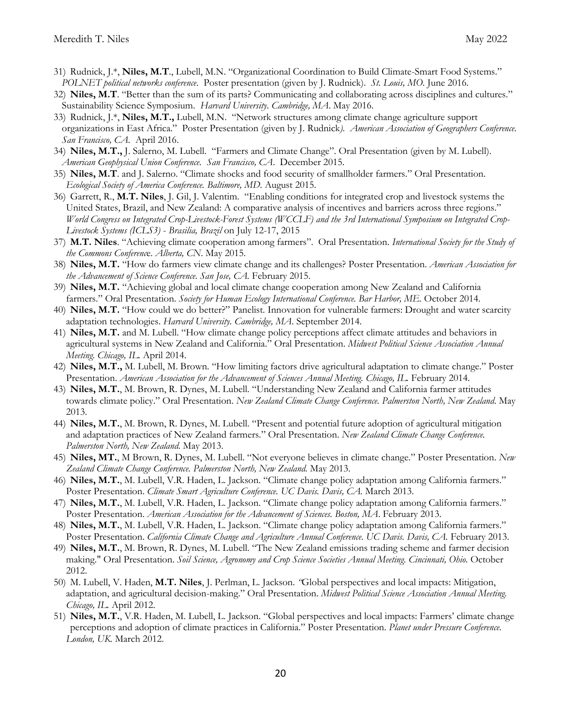- 31) Rudnick, J.\*, **Niles, M.T**., Lubell, M.N. "Organizational Coordination to Build Climate-Smart Food Systems." *POLNET political networks conference*. Poster presentation (given by J. Rudnick). *St. Louis, MO*. June 2016.
- 32) **Niles, M.T**. "Better than the sum of its parts? Communicating and collaborating across disciplines and cultures." Sustainability Science Symposium. *Harvard University*. *Cambridge, MA*. May 2016.
- 33) Rudnick, J.\*, **Niles, M.T.,** Lubell, M.N. "Network structures among climate change agriculture support organizations in East Africa." Poster Presentation (given by J. Rudnick*). American Association of Geographers Conference. San Francisco, CA.* April 2016.
- 34) **Niles, M.T.,** J. Salerno, M. Lubell. "Farmers and Climate Change". Oral Presentation (given by M. Lubell). *American Geophysical Union Conference. San Francisco, CA*. December 2015.
- 35) **Niles, M.T**. and J. Salerno. "Climate shocks and food security of smallholder farmers." Oral Presentation. *Ecological Society of America Conference. Baltimore, MD.* August 2015.
- 36) Garrett, R., **M.T. Niles**, J. Gil, J. Valentim. "Enabling conditions for integrated crop and livestock systems the United States, Brazil, and New Zealand: A comparative analysis of incentives and barriers across three regions." *World Congress on Integrated Crop-Livestock-Forest Systems (WCCLF) and the 3rd International Symposium on Integrated Crop-Livestock Systems (ICLS3)* - *Brasilia, Brazil* on July 12-17, 2015
- 37) **M.T. Niles**. "Achieving climate cooperation among farmers". Oral Presentation. *International Society for the Study of the Commons Conferenc*e. *Alberta, CN*. May 2015.
- 38) **Niles, M.T.** "How do farmers view climate change and its challenges? Poster Presentation. *American Association for the Advancement of Science Conference. San Jose, CA.* February 2015.
- 39) **Niles, M.T.** "Achieving global and local climate change cooperation among New Zealand and California farmers." Oral Presentation. *Society for Human Ecology International Conference. Bar Harbor, ME.* October 2014.
- 40) **Niles, M.T.** "How could we do better?" Panelist. Innovation for vulnerable farmers: Drought and water scarcity adaptation technologies. *Harvard University. Cambridge, MA*. September 2014.
- 41) **Niles, M.T.** and M. Lubell. "How climate change policy perceptions affect climate attitudes and behaviors in agricultural systems in New Zealand and California." Oral Presentation. *Midwest Political Science Association Annual Meeting. Chicago, IL.* April 2014.
- 42) **Niles, M.T.,** M. Lubell, M. Brown. "How limiting factors drive agricultural adaptation to climate change." Poster Presentation. *American Association for the Advancement of Sciences Annual Meeting. Chicago, IL.* February 2014.
- 43) **Niles, M.T.**, M. Brown, R. Dynes, M. Lubell. "Understanding New Zealand and California farmer attitudes towards climate policy." Oral Presentation. *New Zealand Climate Change Conference. Palmerston North, New Zealand*. May 2013.
- 44) **Niles, M.T.**, M. Brown, R. Dynes, M. Lubell. "Present and potential future adoption of agricultural mitigation and adaptation practices of New Zealand farmers." Oral Presentation. *New Zealand Climate Change Conference. Palmerston North, New Zealand*. May 2013.
- 45) **Niles, MT.**, M Brown, R. Dynes, M. Lubell. "Not everyone believes in climate change." Poster Presentation. *New Zealand Climate Change Conference. Palmerston North, New Zealand.* May 2013.
- 46) **Niles, M.T.**, M. Lubell, V.R. Haden, L. Jackson. "Climate change policy adaptation among California farmers." Poster Presentation. *Climate Smart Agriculture Conference. UC Davis. Davis, CA.* March 2013.
- 47) **Niles, M.T.**, M. Lubell, V.R. Haden, L. Jackson. "Climate change policy adaptation among California farmers." Poster Presentation. *American Association for the Advancement of Sciences. Boston, MA*. February 2013.
- 48) **Niles, M.T.**, M. Lubell, V.R. Haden, L. Jackson. "Climate change policy adaptation among California farmers." Poster Presentation. *California Climate Change and Agriculture Annual Conference. UC Davis. Davis, CA.* February 2013.
- 49) **Niles, M.T.**, M. Brown, R. Dynes, M. Lubell. "The New Zealand emissions trading scheme and farmer decision making." Oral Presentation. *Soil Science, Agronomy and Crop Science Societies Annual Meeting. Cincinnati, Ohio.* October 2012.
- 50) M. Lubell, V. Haden, **M.T. Niles**, J. Perlman, L. Jackson. *"*Global perspectives and local impacts: Mitigation, adaptation, and agricultural decision-making." Oral Presentation. *Midwest Political Science Association Annual Meeting. Chicago, IL.* April 2012.
- 51) **Niles, M.T.**, V.R. Haden, M. Lubell, L. Jackson. "Global perspectives and local impacts: Farmers' climate change perceptions and adoption of climate practices in California." Poster Presentation. *Planet under Pressure Conference. London, UK.* March 2012.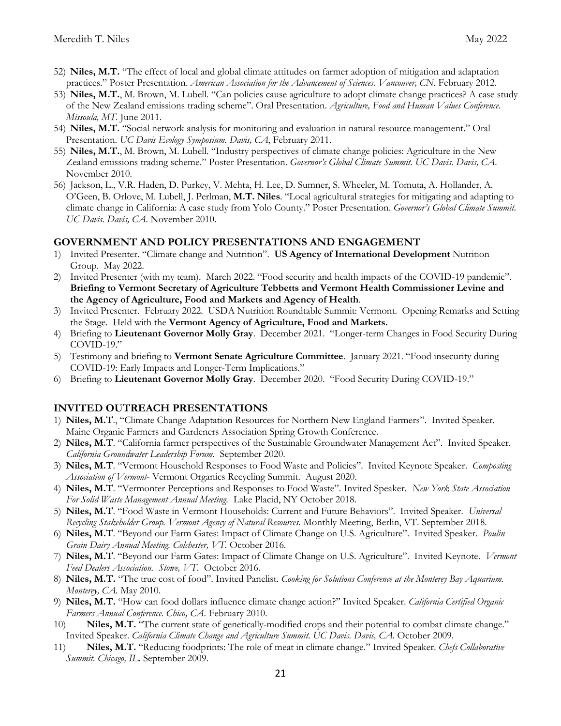- 52) **Niles, M.T.** "The effect of local and global climate attitudes on farmer adoption of mitigation and adaptation practices." Poster Presentation. *American Association for the Advancement of Sciences. Vancouver, CN.* February 2012.
- 53) **Niles, M.T.**, M. Brown, M. Lubell. "Can policies cause agriculture to adopt climate change practices? A case study of the New Zealand emissions trading scheme". Oral Presentation. *Agriculture, Food and Human Values Conference. Missoula, MT.* June 2011.
- 54) **Niles, M.T.** "Social network analysis for monitoring and evaluation in natural resource management." Oral Presentation. *UC Davis Ecology Symposium. Davis, CA*, February 2011.
- 55) **Niles, M.T.**, M. Brown, M. Lubell. "Industry perspectives of climate change policies: Agriculture in the New Zealand emissions trading scheme." Poster Presentation. *Governor's Global Climate Summit. UC Davis. Davis, CA.* November 2010.
- 56) Jackson, L., V.R. Haden, D. Purkey, V. Mehta, H. Lee, D. Sumner, S. Wheeler, M. Tomuta, A. Hollander, A. O'Geen, B. Orlove, M. Lubell, J. Perlman, **M.T. Niles**. "Local agricultural strategies for mitigating and adapting to climate change in California: A case study from Yolo County." Poster Presentation. *Governor's Global Climate Summit. UC Davis. Davis, CA.* November 2010.

### **GOVERNMENT AND POLICY PRESENTATIONS AND ENGAGEMENT**

- 1) Invited Presenter. "Climate change and Nutrition". **US Agency of International Development** Nutrition Group. May 2022.
- 2) Invited Presenter (with my team). March 2022. "Food security and health impacts of the COVID-19 pandemic". **Briefing to Vermont Secretary of Agriculture Tebbetts and Vermont Health Commissioner Levine and the Agency of Agriculture, Food and Markets and Agency of Health**.
- 3) Invited Presenter. February 2022. USDA Nutrition Roundtable Summit: Vermont. Opening Remarks and Setting the Stage. Held with the **Vermont Agency of Agriculture, Food and Markets.**
- 4) Briefing to **Lieutenant Governor Molly Gray**. December 2021. "Longer-term Changes in Food Security During COVID-19."
- 5) Testimony and briefing to **Vermont Senate Agriculture Committee**. January 2021. "Food insecurity during COVID-19: Early Impacts and Longer-Term Implications."
- 6) Briefing to **Lieutenant Governor Molly Gray**. December 2020. "Food Security During COVID-19."

## **INVITED OUTREACH PRESENTATIONS**

- 1) **Niles, M.T**., "Climate Change Adaptation Resources for Northern New England Farmers". Invited Speaker. Maine Organic Farmers and Gardeners Association Spring Growth Conference.
- 2) **Niles, M.T**. "California farmer perspectives of the Sustainable Groundwater Management Act". Invited Speaker. *California Groundwater Leadership Forum*. September 2020.
- 3) **Niles, M.T**. "Vermont Household Responses to Food Waste and Policies". Invited Keynote Speaker. *Composting Association of Vermont*- Vermont Organics Recycling Summit. August 2020.
- 4) **Niles, M.T**. "Vermonter Perceptions and Responses to Food Waste". Invited Speaker. *New York State Association For Solid Waste Management Annual Meeting.* Lake Placid, NY October 2018.
- 5) **Niles, M.T**. "Food Waste in Vermont Households: Current and Future Behaviors". Invited Speaker. *Universal Recycling Stakeholder Group. Vermont Agency of Natural Resources.* Monthly Meeting, Berlin, VT. September 2018.
- 6) **Niles, M.T**. "Beyond our Farm Gates: Impact of Climate Change on U.S. Agriculture". Invited Speaker. *Poulin Grain Dairy Annual Meeting. Colchester, VT.* October 2016.
- 7) **Niles, M.T**. "Beyond our Farm Gates: Impact of Climate Change on U.S. Agriculture". Invited Keynote. *Vermont Feed Dealers Association. Stowe, VT*. October 2016.
- 8) **Niles, M.T.** "The true cost of food". Invited Panelist. *Cooking for Solutions Conference at the Monterey Bay Aquarium. Monterey, CA.* May 2010.
- 9) **Niles, M.T.** "How can food dollars influence climate change action?" Invited Speaker. *California Certified Organic Farmers Annual Conference. Chico, CA.* February 2010.
- 10) **Niles, M.T.** "The current state of genetically-modified crops and their potential to combat climate change." Invited Speaker. *California Climate Change and Agriculture Summit. UC Davis. Davis, CA.* October 2009.
- 11) **Niles, M.T.** "Reducing foodprints: The role of meat in climate change." Invited Speaker. *Chefs Collaborative Summit. Chicago, IL.* September 2009.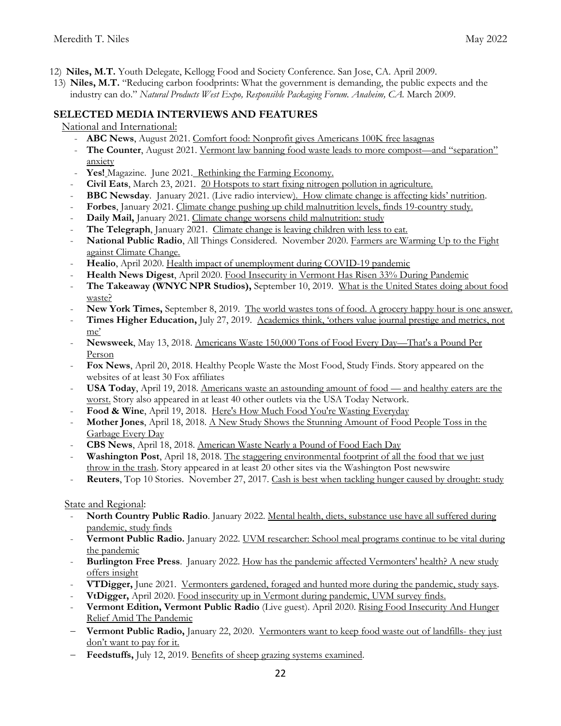- 12) **Niles, M.T.** Youth Delegate, Kellogg Food and Society Conference. San Jose, CA. April 2009.
- 13) **Niles, M.T.** "Reducing carbon foodprints: What the government is demanding, the public expects and the industry can do." *Natural Products West Expo, Responsible Packaging Forum. Anaheim, CA.* March 2009.

## **SELECTED MEDIA INTERVIEWS AND FEATURES**

National and International:

- **ABC News**, August 2021. Comfort food: Nonprofit gives Americans 100K free lasagnas
- **The Counter**, August 2021. Vermont law banning food waste leads to more compost—and "separation" anxiety
- Yes! Magazine. June 2021. Rethinking the Farming Economy.
- **Civil Eats**, March 23, 2021. 20 Hotspots to start fixing nitrogen pollution in agriculture.
- **BBC Newsday**. January 2021. (Live radio interview). How climate change is affecting kids' nutrition.
- Forbes, January 2021. Climate change pushing up child malnutrition levels, finds 19-country study.
- Daily Mail, January 2021. Climate change worsens child malnutrition: study
- The Telegraph, January 2021. Climate change is leaving children with less to eat.
- **National Public Radio**, All Things Considered. November 2020[. Farmers are Warming Up to the Fight](https://www.npr.org/2020/11/20/936603967/farmers-are-warming-up-to-the-fight-against-climate-change)  against [Climate Change.](https://www.npr.org/2020/11/20/936603967/farmers-are-warming-up-to-the-fight-against-climate-change)
- **[Healio](https://www.healio.com/news/primary-care/20200427/health-impact-of-unemployment-during-covid19-pandemic)**, April 2020. Health impact of unemployment during COVID-19 pandemic
- **[Health News Digest](http://www.healthnewsdigest.com/news/Virus0/Food-Insecurity-in-Vermont-Has-Risen-33-During-Pandemic.shtml)**, April 2020. Food Insecurity in Vermont Has Risen 33% During Pandemic
- **The Takeaway (WNYC NPR Studios),** September 10, 2019. [What is the United States doing about food](https://www.wnycstudios.org/podcasts/takeaway/segments/united-states-food-waste)  [waste?](https://www.wnycstudios.org/podcasts/takeaway/segments/united-states-food-waste)
- **New York Times,** September 8, 2019. [The world wastes tons of food. A grocery happy hour is one answer.](https://www.nytimes.com/2019/09/08/business/food-waste-climate-change.html?module=inline)
- Times Higher Education, July 27, 2019. Academics think, 'others value journal prestige and metrics, not [me'](https://www.timeshighereducation.com/news/academics-think-others-value-journal-prestige-and-metrics-not-me)
- **Newsweek**, May 13, 2018. [Americans Waste 150,000 Tons of Food Every Day](http://www.newsweek.com/americans-waste-150000-tons-food-every-day-thats-pound-person-892411)—That's a Pound Per [Person](http://www.newsweek.com/americans-waste-150000-tons-food-every-day-thats-pound-person-892411)
- **Fox News**, April 20, 2018. Healthy People Waste the Most Food, Study Finds. Story appeared on the websites of at least 30 Fox affiliates
- **USA Today**, April 19, 2018. [Americans waste an astounding amount of food](https://www.usatoday.com/story/news/health/2018/04/19/americans-waste-huge-quantity-food-healthy-eaters-worst-culprits/531495002/)  and healthy eaters are the [worst.](https://www.usatoday.com/story/news/health/2018/04/19/americans-waste-huge-quantity-food-healthy-eaters-worst-culprits/531495002/) Story also appeared in at least 40 other outlets via the USA Today Network.
- Food & Wine, April 19, 2018. [Here's How Much Food You're Wasting Everyday](https://www.foodandwine.com/news/how-much-food-youre-wasting-everyday)
- **Mother Jones**, April 18, 2018. [A New Study Shows the Stunning Amount of Food People Toss in the](https://www.motherjones.com/food/2018/04/a-new-study-shows-the-stunning-amount-of-food-people-toss-in-the-garbage-every-day/)  [Garbage Every Day](https://www.motherjones.com/food/2018/04/a-new-study-shows-the-stunning-amount-of-food-people-toss-in-the-garbage-every-day/)
- **CBS News**, April 18, 2018. [American Waste Nearly a Pound of Food Each Day](https://www.cbsnews.com/news/americans-waste-nearly-a-pound-of-food-each-per-day-study-finds/)
- **Washington Post**, April 18, 2018. [The staggering environmental footprint of all the food that we just](https://www.washingtonpost.com/news/energy-environment/wp/2018/04/18/americans-waste-about-a-quarter-of-the-food-they-buy-and-the-environmental-consequences-are-staggering/?utm_term=.f7302ff25986)  [throw in the trash.](https://www.washingtonpost.com/news/energy-environment/wp/2018/04/18/americans-waste-about-a-quarter-of-the-food-they-buy-and-the-environmental-consequences-are-staggering/?utm_term=.f7302ff25986) Story appeared in at least 20 other sites via the Washington Post newswire
- **Reuters**, Top 10 Stories. November 27, 2017. [Cash is best when tackling hunger caused by drought: study](https://www.reuters.com/article/us-farming-food-livelihoods/cash-is-best-when-tackling-hunger-caused-by-drought-study-idUSKBN1DR1GB)

## State and Regional:

- **North Country Public Radio**. January 2022. Mental health, diets, substance use have all suffered during pandemic, study finds
- **Vermont Public Radio.** January 2022. UVM researcher: School meal programs continue to be vital during the pandemic
- **Burlington Free Press**. January 2022. How has the pandemic affected Vermonters' health? A new study offers insight
- **VTDigger,** June 2021. Vermonters gardened, foraged and hunted more during the pandemic, study says.
- **[VtDigger,](https://vtdigger.org/2020/04/20/food-insecurity-up-in-vermont-during-pandemic-uvm-survey-finds/)** April 2020. Food insecurity up in Vermont during pandemic, UVM survey finds.
- **[Vermont Edition, Vermont Public Ra](https://www.vpr.org/post/rising-food-insecurity-and-hunger-relief-amid-pandemic#stream/0)dio** (Live guest). April 2020. Rising Food Insecurity And Hunger Relief Amid The Pandemic
- **Vermont Public Radio,** January 22, 2020. [Vermonters want to keep food waste out of landfills-](https://www.vpr.org/post/vermonters-want-keep-food-waste-out-landfills-they-just-dont-want-pay-it#stream/0) they just [don't want to pay for it.](https://www.vpr.org/post/vermonters-want-keep-food-waste-out-landfills-they-just-dont-want-pay-it#stream/0)
- **Feedstuffs,** July 12, 2019. [Benefits of sheep grazing systems examined.](https://www.feedstuffs.com/news/benefits-sheep-grazing-systems-examined)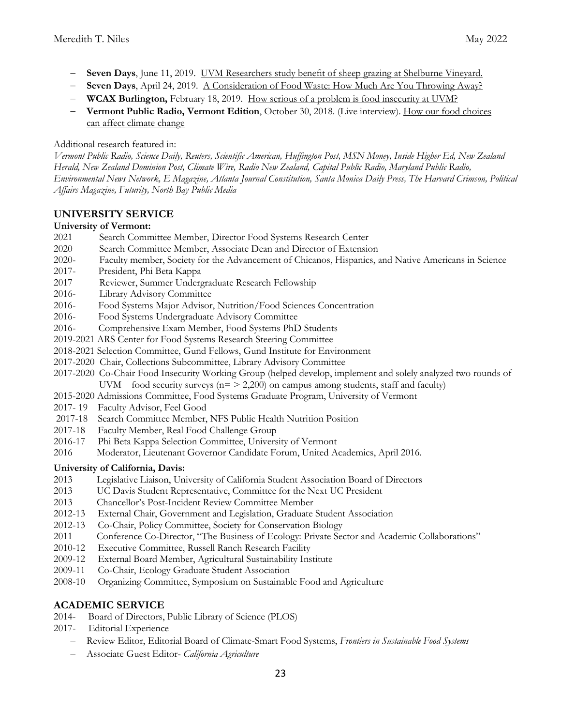- **Seven Days**, June 11, 2019. [UVM Researchers study benefit of sheep grazing at Shelburne Vineyard.](https://www.sevendaysvt.com/vermont/uvm-researchers-study-benefit-of-sheep-grazing-shelburne-vineyard/Content?oid=27712145)
- **Seven Days**, April 24, 2019. [A Consideration of Food Waste: How Much Are You Throwing Away?](https://www.sevendaysvt.com/vermont/a-consideration-of-food-waste-how-much-are-you-throwing-away/Content?oid=27311290)
- **WCAX Burlington,** February 18, 2019. [How serious of a problem is food insecurity at UVM?](https://www.wcax.com/content/news/How-serious-of-a-problem-is-food-insecurity-at-UVM-506008421.html)
- **Vermont Public Radio, Vermont Edition**, October 30, 2018. (Live interview). [How our food choices](http://digital.vpr.net/post/how-our-food-choices-can-affect-climate-change)  [can affect climate change](http://digital.vpr.net/post/how-our-food-choices-can-affect-climate-change)

## Additional research featured in:

*Vermont Public Radio, Science Daily, Reuters, Scientific American, Huffington Post, MSN Money, Inside Higher Ed, New Zealand Herald, New Zealand Dominion Post, Climate Wire, Radio New Zealand, Capital Public Radio, Maryland Public Radio, Environmental News Network, E Magazine, Atlanta Journal Constitution, Santa Monica Daily Press, The Harvard Crimson, Political Affairs Magazine, Futurity, North Bay Public Media*

## **UNIVERSITY SERVICE**

## **University of Vermont:**

- 2021 Search Committee Member, Director Food Systems Research Center
- 2020 Search Committee Member, Associate Dean and Director of Extension
- 2020- Faculty member, Society for the Advancement of Chicanos, Hispanics, and Native Americans in Science
- 2017- President, Phi Beta Kappa
- 2017 Reviewer, Summer Undergraduate Research Fellowship
- 2016- Library Advisory Committee
- 2016- Food Systems Major Advisor, Nutrition/Food Sciences Concentration
- 2016- Food Systems Undergraduate Advisory Committee
- 2016- Comprehensive Exam Member, Food Systems PhD Students
- 2019-2021 ARS Center for Food Systems Research Steering Committee
- 2018-2021 Selection Committee, Gund Fellows, Gund Institute for Environment
- 2017-2020 Chair, Collections Subcommittee, Library Advisory Committee
- 2017-2020 Co-Chair Food Insecurity Working Group (helped develop, implement and solely analyzed two rounds of UVM food security surveys ( $n = 2,200$ ) on campus among students, staff and faculty)
- 2015-2020 Admissions Committee, Food Systems Graduate Program, University of Vermont
- 2017- 19 Faculty Advisor, Feel Good
- 2017-18 Search Committee Member, NFS Public Health Nutrition Position
- 2017-18 Faculty Member, Real Food Challenge Group
- 2016-17 Phi Beta Kappa Selection Committee, University of Vermont
- 2016 Moderator, Lieutenant Governor Candidate Forum, United Academics, April 2016.

## **University of California, Davis:**

- 2013 Legislative Liaison, University of California Student Association Board of Directors
- 2013 UC Davis Student Representative, Committee for the Next UC President
- 2013 Chancellor's Post-Incident Review Committee Member
- 2012-13 External Chair, Government and Legislation, Graduate Student Association
- 2012-13 Co-Chair, Policy Committee, Society for Conservation Biology
- 2011 Conference Co-Director, "The Business of Ecology: Private Sector and Academic Collaborations"
- 2010-12 Executive Committee, Russell Ranch Research Facility
- 2009-12 External Board Member, Agricultural Sustainability Institute
- 2009-11 Co-Chair, Ecology Graduate Student Association
- 2008-10 Organizing Committee, Symposium on Sustainable Food and Agriculture

## **ACADEMIC SERVICE**

- 2014- Board of Directors, Public Library of Science (PLOS)
- 2017- Editorial Experience
	- Review Editor, Editorial Board of Climate-Smart Food Systems, *Frontiers in Sustainable Food Systems*
	- Associate Guest Editor- *California Agriculture*